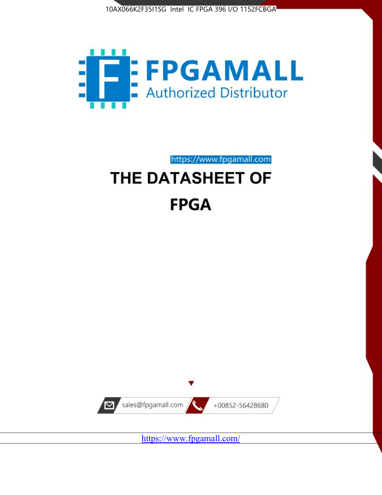



https://www.fpgamall.com

# THE DATASHEET OF **FPGA**



<https://www.fpgamall.com/>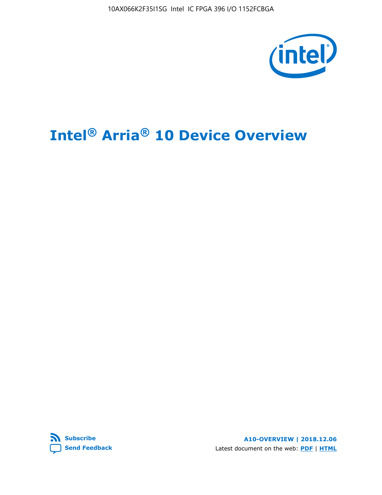10AX066K2F35I1SG Intel IC FPGA 396 I/O 1152FCBGA



# **Intel® Arria® 10 Device Overview**



**A10-OVERVIEW | 2018.12.06** Latest document on the web: **[PDF](https://www.intel.com/content/dam/www/programmable/us/en/pdfs/literature/hb/arria-10/a10_overview.pdf)** | **[HTML](https://www.intel.com/content/www/us/en/programmable/documentation/sam1403480274650.html)**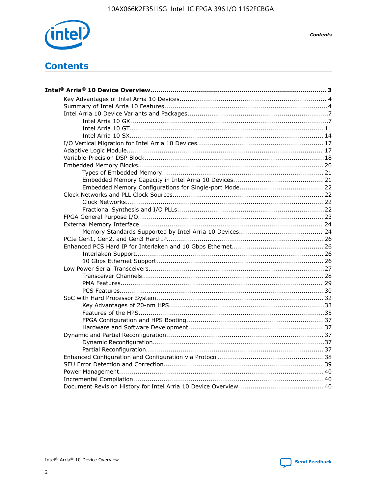

**Contents** 

# **Contents**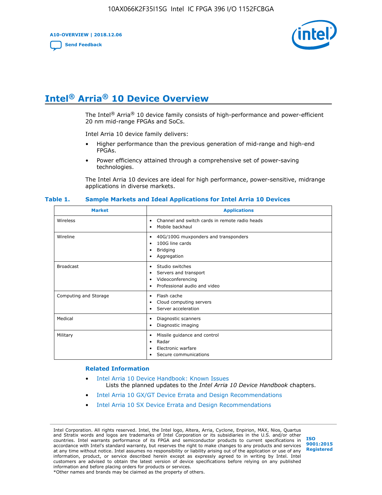**A10-OVERVIEW | 2018.12.06**

**[Send Feedback](mailto:FPGAtechdocfeedback@intel.com?subject=Feedback%20on%20Intel%20Arria%2010%20Device%20Overview%20(A10-OVERVIEW%202018.12.06)&body=We%20appreciate%20your%20feedback.%20In%20your%20comments,%20also%20specify%20the%20page%20number%20or%20paragraph.%20Thank%20you.)**



# **Intel® Arria® 10 Device Overview**

The Intel<sup>®</sup> Arria<sup>®</sup> 10 device family consists of high-performance and power-efficient 20 nm mid-range FPGAs and SoCs.

Intel Arria 10 device family delivers:

- Higher performance than the previous generation of mid-range and high-end FPGAs.
- Power efficiency attained through a comprehensive set of power-saving technologies.

The Intel Arria 10 devices are ideal for high performance, power-sensitive, midrange applications in diverse markets.

| <b>Market</b>         | <b>Applications</b>                                                                                               |
|-----------------------|-------------------------------------------------------------------------------------------------------------------|
| Wireless              | Channel and switch cards in remote radio heads<br>٠<br>Mobile backhaul<br>٠                                       |
| Wireline              | 40G/100G muxponders and transponders<br>٠<br>100G line cards<br>٠<br>Bridging<br>٠<br>Aggregation<br>٠            |
| <b>Broadcast</b>      | Studio switches<br>٠<br>Servers and transport<br>٠<br>Videoconferencing<br>٠<br>Professional audio and video<br>٠ |
| Computing and Storage | Flash cache<br>٠<br>Cloud computing servers<br>٠<br>Server acceleration<br>$\bullet$                              |
| Medical               | Diagnostic scanners<br>٠<br>Diagnostic imaging<br>٠                                                               |
| Military              | Missile guidance and control<br>٠<br>Radar<br>٠<br>Electronic warfare<br>٠<br>Secure communications<br>٠          |

#### **Table 1. Sample Markets and Ideal Applications for Intel Arria 10 Devices**

#### **Related Information**

- [Intel Arria 10 Device Handbook: Known Issues](http://www.altera.com/support/kdb/solutions/rd07302013_646.html) Lists the planned updates to the *Intel Arria 10 Device Handbook* chapters.
- [Intel Arria 10 GX/GT Device Errata and Design Recommendations](https://www.intel.com/content/www/us/en/programmable/documentation/agz1493851706374.html#yqz1494433888646)
- [Intel Arria 10 SX Device Errata and Design Recommendations](https://www.intel.com/content/www/us/en/programmable/documentation/cru1462832385668.html#cru1462832558642)

Intel Corporation. All rights reserved. Intel, the Intel logo, Altera, Arria, Cyclone, Enpirion, MAX, Nios, Quartus and Stratix words and logos are trademarks of Intel Corporation or its subsidiaries in the U.S. and/or other countries. Intel warrants performance of its FPGA and semiconductor products to current specifications in accordance with Intel's standard warranty, but reserves the right to make changes to any products and services at any time without notice. Intel assumes no responsibility or liability arising out of the application or use of any information, product, or service described herein except as expressly agreed to in writing by Intel. Intel customers are advised to obtain the latest version of device specifications before relying on any published information and before placing orders for products or services. \*Other names and brands may be claimed as the property of others.

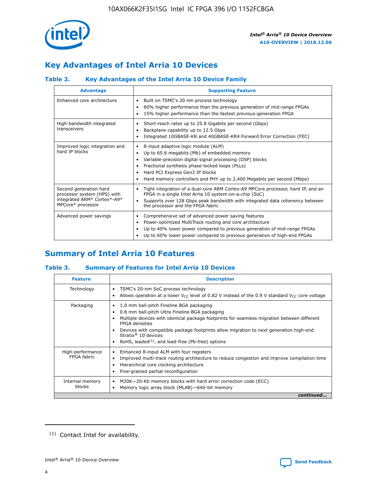

# **Key Advantages of Intel Arria 10 Devices**

# **Table 2. Key Advantages of the Intel Arria 10 Device Family**

| <b>Advantage</b>                                                                                          | <b>Supporting Feature</b>                                                                                                                                                                                                                                                                                                |
|-----------------------------------------------------------------------------------------------------------|--------------------------------------------------------------------------------------------------------------------------------------------------------------------------------------------------------------------------------------------------------------------------------------------------------------------------|
| Enhanced core architecture                                                                                | Built on TSMC's 20 nm process technology<br>٠<br>60% higher performance than the previous generation of mid-range FPGAs<br>٠<br>15% higher performance than the fastest previous-generation FPGA<br>٠                                                                                                                    |
| High-bandwidth integrated<br>transceivers                                                                 | Short-reach rates up to 25.8 Gigabits per second (Gbps)<br>٠<br>Backplane capability up to 12.5 Gbps<br>٠<br>Integrated 10GBASE-KR and 40GBASE-KR4 Forward Error Correction (FEC)<br>٠                                                                                                                                   |
| Improved logic integration and<br>hard IP blocks                                                          | 8-input adaptive logic module (ALM)<br>٠<br>Up to 65.6 megabits (Mb) of embedded memory<br>٠<br>Variable-precision digital signal processing (DSP) blocks<br>Fractional synthesis phase-locked loops (PLLs)<br>Hard PCI Express Gen3 IP blocks<br>Hard memory controllers and PHY up to 2,400 Megabits per second (Mbps) |
| Second generation hard<br>processor system (HPS) with<br>integrated ARM* Cortex*-A9*<br>MPCore* processor | Tight integration of a dual-core ARM Cortex-A9 MPCore processor, hard IP, and an<br>٠<br>FPGA in a single Intel Arria 10 system-on-a-chip (SoC)<br>Supports over 128 Gbps peak bandwidth with integrated data coherency between<br>$\bullet$<br>the processor and the FPGA fabric                                        |
| Advanced power savings                                                                                    | Comprehensive set of advanced power saving features<br>٠<br>Power-optimized MultiTrack routing and core architecture<br>٠<br>Up to 40% lower power compared to previous generation of mid-range FPGAs<br>Up to 60% lower power compared to previous generation of high-end FPGAs                                         |

# **Summary of Intel Arria 10 Features**

### **Table 3. Summary of Features for Intel Arria 10 Devices**

| <b>Feature</b>                  | <b>Description</b>                                                                                                                                                                                                                                                                                                                                                                                           |
|---------------------------------|--------------------------------------------------------------------------------------------------------------------------------------------------------------------------------------------------------------------------------------------------------------------------------------------------------------------------------------------------------------------------------------------------------------|
| Technology                      | TSMC's 20-nm SoC process technology<br>Allows operation at a lower $V_{\text{CC}}$ level of 0.82 V instead of the 0.9 V standard $V_{\text{CC}}$ core voltage                                                                                                                                                                                                                                                |
| Packaging                       | 1.0 mm ball-pitch Fineline BGA packaging<br>٠<br>0.8 mm ball-pitch Ultra Fineline BGA packaging<br>Multiple devices with identical package footprints for seamless migration between different<br><b>FPGA</b> densities<br>Devices with compatible package footprints allow migration to next generation high-end<br>Stratix <sup>®</sup> 10 devices<br>RoHS, leaded $(1)$ , and lead-free (Pb-free) options |
| High-performance<br>FPGA fabric | Enhanced 8-input ALM with four registers<br>Improved multi-track routing architecture to reduce congestion and improve compilation time<br>Hierarchical core clocking architecture<br>Fine-grained partial reconfiguration                                                                                                                                                                                   |
| Internal memory<br>blocks       | M20K-20-Kb memory blocks with hard error correction code (ECC)<br>Memory logic array block (MLAB)-640-bit memory                                                                                                                                                                                                                                                                                             |
|                                 | continued                                                                                                                                                                                                                                                                                                                                                                                                    |



<sup>(1)</sup> Contact Intel for availability.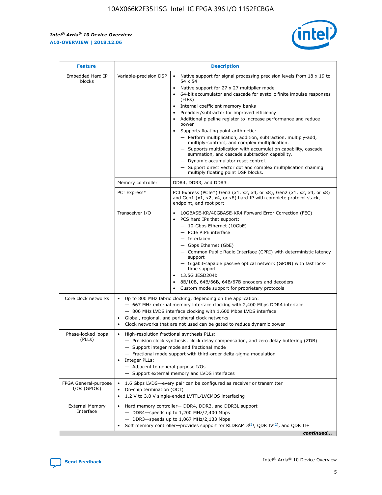r



| <b>Feature</b>                         |                                                                                                                | <b>Description</b>                                                                                                                                                                                                                                                                                                                                                                                                                                                                                                                                                                                                                                                                                                                                                                                                                                               |
|----------------------------------------|----------------------------------------------------------------------------------------------------------------|------------------------------------------------------------------------------------------------------------------------------------------------------------------------------------------------------------------------------------------------------------------------------------------------------------------------------------------------------------------------------------------------------------------------------------------------------------------------------------------------------------------------------------------------------------------------------------------------------------------------------------------------------------------------------------------------------------------------------------------------------------------------------------------------------------------------------------------------------------------|
| Embedded Hard IP<br>blocks             | Variable-precision DSP                                                                                         | Native support for signal processing precision levels from $18 \times 19$ to<br>$\bullet$<br>54 x 54<br>Native support for 27 x 27 multiplier mode<br>$\bullet$<br>64-bit accumulator and cascade for systolic finite impulse responses<br>(FIRs)<br>Internal coefficient memory banks<br>$\bullet$<br>Preadder/subtractor for improved efficiency<br>Additional pipeline register to increase performance and reduce<br>power<br>Supports floating point arithmetic:<br>- Perform multiplication, addition, subtraction, multiply-add,<br>multiply-subtract, and complex multiplication.<br>- Supports multiplication with accumulation capability, cascade<br>summation, and cascade subtraction capability.<br>- Dynamic accumulator reset control.<br>- Support direct vector dot and complex multiplication chaining<br>multiply floating point DSP blocks. |
|                                        | Memory controller                                                                                              | DDR4, DDR3, and DDR3L                                                                                                                                                                                                                                                                                                                                                                                                                                                                                                                                                                                                                                                                                                                                                                                                                                            |
|                                        | PCI Express*                                                                                                   | PCI Express (PCIe*) Gen3 (x1, x2, x4, or x8), Gen2 (x1, x2, x4, or x8)<br>and Gen1 (x1, x2, x4, or x8) hard IP with complete protocol stack,<br>endpoint, and root port                                                                                                                                                                                                                                                                                                                                                                                                                                                                                                                                                                                                                                                                                          |
|                                        | Transceiver I/O                                                                                                | 10GBASE-KR/40GBASE-KR4 Forward Error Correction (FEC)<br>PCS hard IPs that support:<br>- 10-Gbps Ethernet (10GbE)<br>- PCIe PIPE interface<br>- Interlaken<br>- Gbps Ethernet (GbE)<br>- Common Public Radio Interface (CPRI) with deterministic latency<br>support<br>- Gigabit-capable passive optical network (GPON) with fast lock-<br>time support<br>13.5G JESD204b<br>$\bullet$<br>8B/10B, 64B/66B, 64B/67B encoders and decoders<br>Custom mode support for proprietary protocols                                                                                                                                                                                                                                                                                                                                                                        |
| Core clock networks                    | $\bullet$                                                                                                      | Up to 800 MHz fabric clocking, depending on the application:<br>- 667 MHz external memory interface clocking with 2,400 Mbps DDR4 interface<br>- 800 MHz LVDS interface clocking with 1,600 Mbps LVDS interface<br>Global, regional, and peripheral clock networks<br>Clock networks that are not used can be gated to reduce dynamic power                                                                                                                                                                                                                                                                                                                                                                                                                                                                                                                      |
| Phase-locked loops<br>(PLLs)           | High-resolution fractional synthesis PLLs:<br>$\bullet$<br>Integer PLLs:<br>- Adjacent to general purpose I/Os | - Precision clock synthesis, clock delay compensation, and zero delay buffering (ZDB)<br>- Support integer mode and fractional mode<br>- Fractional mode support with third-order delta-sigma modulation<br>- Support external memory and LVDS interfaces                                                                                                                                                                                                                                                                                                                                                                                                                                                                                                                                                                                                        |
| FPGA General-purpose<br>$I/Os$ (GPIOs) | On-chip termination (OCT)<br>٠<br>$\bullet$                                                                    | 1.6 Gbps LVDS-every pair can be configured as receiver or transmitter<br>1.2 V to 3.0 V single-ended LVTTL/LVCMOS interfacing                                                                                                                                                                                                                                                                                                                                                                                                                                                                                                                                                                                                                                                                                                                                    |
| <b>External Memory</b><br>Interface    | $\bullet$                                                                                                      | Hard memory controller- DDR4, DDR3, and DDR3L support<br>$-$ DDR4-speeds up to 1,200 MHz/2,400 Mbps<br>- DDR3-speeds up to 1,067 MHz/2,133 Mbps<br>Soft memory controller—provides support for RLDRAM $3^{(2)}$ , QDR IV $^{(2)}$ , and QDR II+<br>continued                                                                                                                                                                                                                                                                                                                                                                                                                                                                                                                                                                                                     |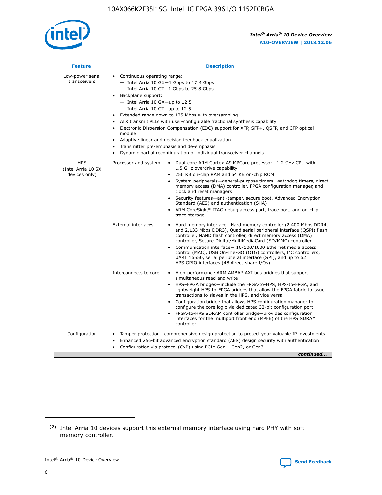

| <b>Feature</b>                                    | <b>Description</b>                                                                                                                                                                                                                                                                                                                                                                                                                                                                                                                                                                                                                                      |  |  |  |  |  |  |  |  |
|---------------------------------------------------|---------------------------------------------------------------------------------------------------------------------------------------------------------------------------------------------------------------------------------------------------------------------------------------------------------------------------------------------------------------------------------------------------------------------------------------------------------------------------------------------------------------------------------------------------------------------------------------------------------------------------------------------------------|--|--|--|--|--|--|--|--|
| Low-power serial<br>transceivers                  | • Continuous operating range:<br>- Intel Arria 10 GX-1 Gbps to 17.4 Gbps<br>- Intel Arria 10 GT-1 Gbps to 25.8 Gbps<br>Backplane support:<br>$-$ Intel Arria 10 GX-up to 12.5<br>- Intel Arria 10 GT-up to 12.5<br>Extended range down to 125 Mbps with oversampling<br>ATX transmit PLLs with user-configurable fractional synthesis capability<br>• Electronic Dispersion Compensation (EDC) support for XFP, SFP+, QSFP, and CFP optical<br>module<br>Adaptive linear and decision feedback equalization<br>$\bullet$<br>Transmitter pre-emphasis and de-emphasis<br>$\bullet$<br>Dynamic partial reconfiguration of individual transceiver channels |  |  |  |  |  |  |  |  |
| <b>HPS</b><br>(Intel Arria 10 SX<br>devices only) | Processor and system<br>Dual-core ARM Cortex-A9 MPCore processor-1.2 GHz CPU with<br>$\bullet$<br>1.5 GHz overdrive capability<br>• 256 KB on-chip RAM and 64 KB on-chip ROM<br>System peripherals-general-purpose timers, watchdog timers, direct<br>memory access (DMA) controller, FPGA configuration manager, and<br>clock and reset managers<br>• Security features—anti-tamper, secure boot, Advanced Encryption<br>Standard (AES) and authentication (SHA)<br>ARM CoreSight* JTAG debug access port, trace port, and on-chip<br>trace storage                                                                                                    |  |  |  |  |  |  |  |  |
|                                                   | <b>External interfaces</b><br>Hard memory interface—Hard memory controller (2,400 Mbps DDR4,<br>$\bullet$<br>and 2,133 Mbps DDR3), Quad serial peripheral interface (QSPI) flash<br>controller, NAND flash controller, direct memory access (DMA)<br>controller, Secure Digital/MultiMediaCard (SD/MMC) controller<br>Communication interface-10/100/1000 Ethernet media access<br>control (MAC), USB On-The-GO (OTG) controllers, I <sup>2</sup> C controllers,<br>UART 16550, serial peripheral interface (SPI), and up to 62<br>HPS GPIO interfaces (48 direct-share I/Os)                                                                           |  |  |  |  |  |  |  |  |
|                                                   | High-performance ARM AMBA* AXI bus bridges that support<br>Interconnects to core<br>$\bullet$<br>simultaneous read and write<br>HPS-FPGA bridges—include the FPGA-to-HPS, HPS-to-FPGA, and<br>lightweight HPS-to-FPGA bridges that allow the FPGA fabric to issue<br>transactions to slaves in the HPS, and vice versa<br>Configuration bridge that allows HPS configuration manager to<br>configure the core logic via dedicated 32-bit configuration port<br>FPGA-to-HPS SDRAM controller bridge-provides configuration<br>interfaces for the multiport front end (MPFE) of the HPS SDRAM<br>controller                                               |  |  |  |  |  |  |  |  |
| Configuration                                     | Tamper protection—comprehensive design protection to protect your valuable IP investments<br>Enhanced 256-bit advanced encryption standard (AES) design security with authentication<br>٠<br>Configuration via protocol (CvP) using PCIe Gen1, Gen2, or Gen3<br>continued                                                                                                                                                                                                                                                                                                                                                                               |  |  |  |  |  |  |  |  |

<sup>(2)</sup> Intel Arria 10 devices support this external memory interface using hard PHY with soft memory controller.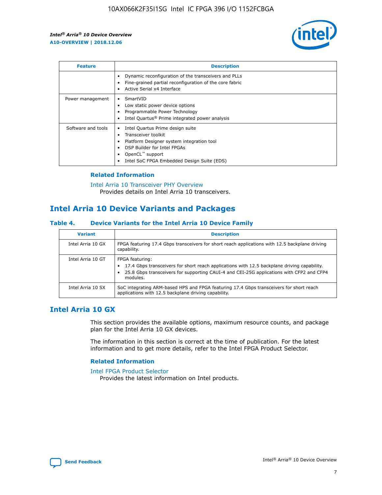

| <b>Feature</b>     | <b>Description</b>                                                                                                                                                                                               |
|--------------------|------------------------------------------------------------------------------------------------------------------------------------------------------------------------------------------------------------------|
|                    | Dynamic reconfiguration of the transceivers and PLLs<br>Fine-grained partial reconfiguration of the core fabric<br>Active Serial x4 Interface<br>$\bullet$                                                       |
| Power management   | SmartVID<br>$\bullet$<br>Low static power device options<br>Programmable Power Technology<br>Intel Quartus <sup>®</sup> Prime integrated power analysis                                                          |
| Software and tools | Intel Quartus Prime design suite<br>Transceiver toolkit<br>Platform Designer system integration tool<br>DSP Builder for Intel FPGAs<br>OpenCL <sup>"</sup> support<br>Intel SoC FPGA Embedded Design Suite (EDS) |

### **Related Information**

#### [Intel Arria 10 Transceiver PHY Overview](https://www.intel.com/content/www/us/en/programmable/documentation/nik1398707230472.html#nik1398706768037) Provides details on Intel Arria 10 transceivers.

# **Intel Arria 10 Device Variants and Packages**

### **Table 4. Device Variants for the Intel Arria 10 Device Family**

| <b>Variant</b>    | <b>Description</b>                                                                                                                                                                                                     |
|-------------------|------------------------------------------------------------------------------------------------------------------------------------------------------------------------------------------------------------------------|
| Intel Arria 10 GX | FPGA featuring 17.4 Gbps transceivers for short reach applications with 12.5 backplane driving<br>capability.                                                                                                          |
| Intel Arria 10 GT | FPGA featuring:<br>17.4 Gbps transceivers for short reach applications with 12.5 backplane driving capability.<br>25.8 Gbps transceivers for supporting CAUI-4 and CEI-25G applications with CFP2 and CFP4<br>modules. |
| Intel Arria 10 SX | SoC integrating ARM-based HPS and FPGA featuring 17.4 Gbps transceivers for short reach<br>applications with 12.5 backplane driving capability.                                                                        |

# **Intel Arria 10 GX**

This section provides the available options, maximum resource counts, and package plan for the Intel Arria 10 GX devices.

The information in this section is correct at the time of publication. For the latest information and to get more details, refer to the Intel FPGA Product Selector.

### **Related Information**

#### [Intel FPGA Product Selector](http://www.altera.com/products/selector/psg-selector.html) Provides the latest information on Intel products.

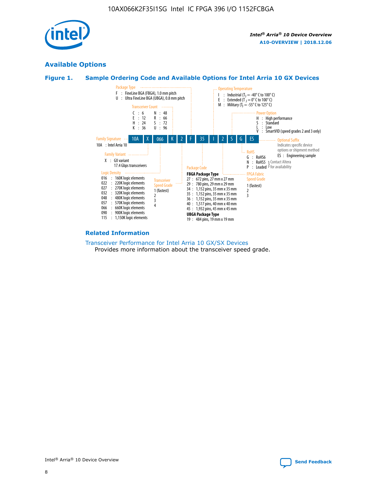

# **Available Options**





### **Related Information**

[Transceiver Performance for Intel Arria 10 GX/SX Devices](https://www.intel.com/content/www/us/en/programmable/documentation/mcn1413182292568.html#mcn1413213965502) Provides more information about the transceiver speed grade.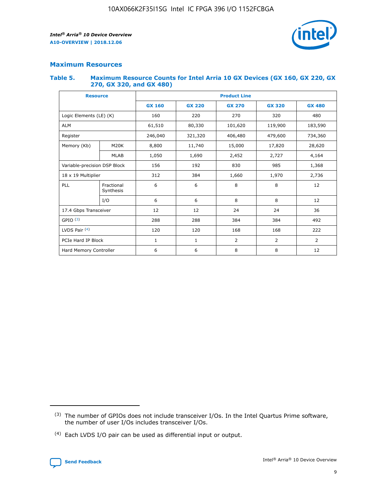

# **Maximum Resources**

### **Table 5. Maximum Resource Counts for Intel Arria 10 GX Devices (GX 160, GX 220, GX 270, GX 320, and GX 480)**

| <b>Resource</b>              |                         | <b>Product Line</b> |                                                 |                |                |                |  |  |  |
|------------------------------|-------------------------|---------------------|-------------------------------------------------|----------------|----------------|----------------|--|--|--|
|                              |                         | <b>GX 160</b>       | <b>GX 220</b><br><b>GX 270</b><br><b>GX 320</b> |                |                | <b>GX 480</b>  |  |  |  |
| Logic Elements (LE) (K)      |                         | 160                 | 220                                             | 270            | 320            | 480            |  |  |  |
| <b>ALM</b>                   |                         | 61,510              | 80,330                                          | 101,620        | 119,900        | 183,590        |  |  |  |
| Register                     |                         | 246,040             | 406,480<br>479,600<br>321,320                   |                |                | 734,360        |  |  |  |
| Memory (Kb)                  | M <sub>20</sub> K       | 8,800               | 11,740                                          | 15,000         | 17,820         | 28,620         |  |  |  |
|                              | <b>MLAB</b>             | 1,050               | 1,690<br>2,452<br>2,727                         |                |                | 4,164          |  |  |  |
| Variable-precision DSP Block |                         | 156                 | 192                                             | 830            | 985            |                |  |  |  |
| 18 x 19 Multiplier           |                         | 312                 | 384                                             | 1,660<br>1,970 |                | 2,736          |  |  |  |
| PLL                          | Fractional<br>Synthesis | 6                   | 6                                               | 8              | 8              | 12             |  |  |  |
|                              | I/O                     | 6                   | 6                                               | 8              | 8              | 12             |  |  |  |
| 17.4 Gbps Transceiver        |                         | 12                  | 12                                              | 24             | 24             | 36             |  |  |  |
| GPIO <sup>(3)</sup>          |                         | 288                 | 288                                             | 384<br>384     |                | 492            |  |  |  |
| LVDS Pair $(4)$              |                         | 120                 | 120                                             | 168            | 168            | 222            |  |  |  |
| PCIe Hard IP Block           |                         | $\mathbf{1}$        | 1                                               | $\overline{2}$ | $\overline{2}$ | $\overline{2}$ |  |  |  |
| Hard Memory Controller       |                         | 6                   | 6                                               | 8              | 8              |                |  |  |  |

<sup>(4)</sup> Each LVDS I/O pair can be used as differential input or output.



<sup>(3)</sup> The number of GPIOs does not include transceiver I/Os. In the Intel Quartus Prime software, the number of user I/Os includes transceiver I/Os.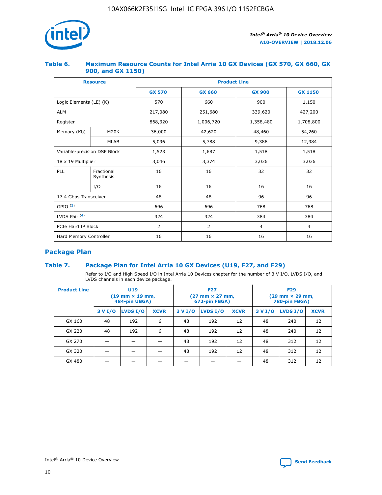

### **Table 6. Maximum Resource Counts for Intel Arria 10 GX Devices (GX 570, GX 660, GX 900, and GX 1150)**

|                              | <b>Resource</b>         | <b>Product Line</b> |                |                |                |  |  |  |  |
|------------------------------|-------------------------|---------------------|----------------|----------------|----------------|--|--|--|--|
|                              |                         | <b>GX 570</b>       | <b>GX 660</b>  | <b>GX 900</b>  | <b>GX 1150</b> |  |  |  |  |
| Logic Elements (LE) (K)      |                         | 570                 | 660            | 900            | 1,150          |  |  |  |  |
| <b>ALM</b>                   |                         | 217,080             | 251,680        | 339,620        | 427,200        |  |  |  |  |
| Register                     |                         | 868,320             | 1,006,720      |                | 1,708,800      |  |  |  |  |
| Memory (Kb)                  | <b>M20K</b>             | 36,000              | 42,620         | 48,460         | 54,260         |  |  |  |  |
|                              | <b>MLAB</b>             | 5,096               | 5,788<br>9,386 |                | 12,984         |  |  |  |  |
| Variable-precision DSP Block |                         | 1,523               | 1,687          | 1,518          | 1,518          |  |  |  |  |
| $18 \times 19$ Multiplier    |                         | 3,046               | 3,374<br>3,036 |                | 3,036          |  |  |  |  |
| PLL                          | Fractional<br>Synthesis | 16                  | 16             | 32             | 32             |  |  |  |  |
|                              | I/O                     | 16                  | 16             | 16             | 16             |  |  |  |  |
| 17.4 Gbps Transceiver        |                         | 48                  | 96<br>48       |                | 96             |  |  |  |  |
| GPIO <sup>(3)</sup>          |                         | 696                 | 696            | 768            | 768            |  |  |  |  |
| LVDS Pair $(4)$              |                         | 324                 | 324            | 384            | 384            |  |  |  |  |
| PCIe Hard IP Block           |                         | $\overline{2}$      | $\overline{2}$ | $\overline{4}$ | $\overline{4}$ |  |  |  |  |
| Hard Memory Controller       |                         | 16                  | 16             | 16             | 16             |  |  |  |  |

# **Package Plan**

### **Table 7. Package Plan for Intel Arria 10 GX Devices (U19, F27, and F29)**

Refer to I/O and High Speed I/O in Intel Arria 10 Devices chapter for the number of 3 V I/O, LVDS I/O, and LVDS channels in each device package.

| <b>Product Line</b> | U <sub>19</sub><br>$(19 \text{ mm} \times 19 \text{ mm})$<br>484-pin UBGA) |          |             |         | <b>F27</b><br>(27 mm × 27 mm,<br>672-pin FBGA) |             | <b>F29</b><br>(29 mm × 29 mm,<br>780-pin FBGA) |          |             |  |
|---------------------|----------------------------------------------------------------------------|----------|-------------|---------|------------------------------------------------|-------------|------------------------------------------------|----------|-------------|--|
|                     | 3 V I/O                                                                    | LVDS I/O | <b>XCVR</b> | 3 V I/O | <b>LVDS I/O</b>                                | <b>XCVR</b> | 3 V I/O                                        | LVDS I/O | <b>XCVR</b> |  |
| GX 160              | 48                                                                         | 192      | 6           | 48      | 192                                            | 12          | 48                                             | 240      | 12          |  |
| GX 220              | 48                                                                         | 192      | 6           | 48      | 192                                            | 12          | 48                                             | 240      | 12          |  |
| GX 270              |                                                                            |          |             | 48      | 192                                            | 12          | 48                                             | 312      | 12          |  |
| GX 320              |                                                                            |          |             | 48      | 192                                            | 12          | 48                                             | 312      | 12          |  |
| GX 480              |                                                                            |          |             |         |                                                |             | 48                                             | 312      | 12          |  |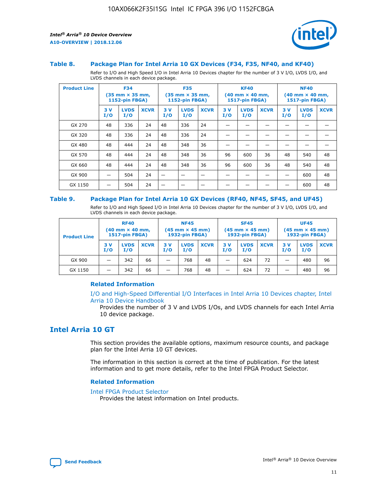



### **Table 8. Package Plan for Intel Arria 10 GX Devices (F34, F35, NF40, and KF40)**

Refer to I/O and High Speed I/O in Intel Arria 10 Devices chapter for the number of 3 V I/O, LVDS I/O, and LVDS channels in each device package.

| <b>Product Line</b> | <b>F34</b><br>$(35 \text{ mm} \times 35 \text{ mm})$<br>1152-pin FBGA) |                    | <b>F35</b><br>$(35$ mm $\times$ 35 mm,<br><b>1152-pin FBGA)</b> |           | <b>KF40</b><br>$(40$ mm $\times$ 40 mm,<br>1517-pin FBGA) |             |           | <b>NF40</b><br>$(40$ mm $\times$ 40 mm,<br><b>1517-pin FBGA)</b> |             |            |                    |             |
|---------------------|------------------------------------------------------------------------|--------------------|-----------------------------------------------------------------|-----------|-----------------------------------------------------------|-------------|-----------|------------------------------------------------------------------|-------------|------------|--------------------|-------------|
|                     | 3V<br>I/O                                                              | <b>LVDS</b><br>I/O | <b>XCVR</b>                                                     | 3V<br>I/O | <b>LVDS</b><br>I/O                                        | <b>XCVR</b> | 3V<br>I/O | <b>LVDS</b><br>I/O                                               | <b>XCVR</b> | 3 V<br>I/O | <b>LVDS</b><br>I/O | <b>XCVR</b> |
| GX 270              | 48                                                                     | 336                | 24                                                              | 48        | 336                                                       | 24          |           |                                                                  |             |            |                    |             |
| GX 320              | 48                                                                     | 336                | 24                                                              | 48        | 336                                                       | 24          |           |                                                                  |             |            |                    |             |
| GX 480              | 48                                                                     | 444                | 24                                                              | 48        | 348                                                       | 36          |           |                                                                  |             |            |                    |             |
| GX 570              | 48                                                                     | 444                | 24                                                              | 48        | 348                                                       | 36          | 96        | 600                                                              | 36          | 48         | 540                | 48          |
| GX 660              | 48                                                                     | 444                | 24                                                              | 48        | 348                                                       | 36          | 96        | 600                                                              | 36          | 48         | 540                | 48          |
| GX 900              |                                                                        | 504                | 24                                                              | –         |                                                           | -           |           |                                                                  |             |            | 600                | 48          |
| GX 1150             |                                                                        | 504                | 24                                                              |           |                                                           |             |           |                                                                  |             |            | 600                | 48          |

### **Table 9. Package Plan for Intel Arria 10 GX Devices (RF40, NF45, SF45, and UF45)**

Refer to I/O and High Speed I/O in Intel Arria 10 Devices chapter for the number of 3 V I/O, LVDS I/O, and LVDS channels in each device package.

| <b>Product Line</b> | <b>RF40</b><br>$(40$ mm $\times$ 40 mm,<br>1517-pin FBGA) |                    |             | <b>NF45</b><br>$(45 \text{ mm} \times 45 \text{ mm})$<br><b>1932-pin FBGA)</b> |                    |             | <b>SF45</b><br>$(45 \text{ mm} \times 45 \text{ mm})$<br><b>1932-pin FBGA)</b> |                    |             | <b>UF45</b><br>$(45 \text{ mm} \times 45 \text{ mm})$<br><b>1932-pin FBGA)</b> |                    |             |
|---------------------|-----------------------------------------------------------|--------------------|-------------|--------------------------------------------------------------------------------|--------------------|-------------|--------------------------------------------------------------------------------|--------------------|-------------|--------------------------------------------------------------------------------|--------------------|-------------|
|                     | 3V<br>I/O                                                 | <b>LVDS</b><br>I/O | <b>XCVR</b> | 3 V<br>I/O                                                                     | <b>LVDS</b><br>I/O | <b>XCVR</b> | 3 V<br>I/O                                                                     | <b>LVDS</b><br>I/O | <b>XCVR</b> | 3V<br>I/O                                                                      | <b>LVDS</b><br>I/O | <b>XCVR</b> |
| GX 900              |                                                           | 342                | 66          | _                                                                              | 768                | 48          |                                                                                | 624                | 72          |                                                                                | 480                | 96          |
| GX 1150             |                                                           | 342                | 66          | _                                                                              | 768                | 48          |                                                                                | 624                | 72          |                                                                                | 480                | 96          |

### **Related Information**

[I/O and High-Speed Differential I/O Interfaces in Intel Arria 10 Devices chapter, Intel](https://www.intel.com/content/www/us/en/programmable/documentation/sam1403482614086.html#sam1403482030321) [Arria 10 Device Handbook](https://www.intel.com/content/www/us/en/programmable/documentation/sam1403482614086.html#sam1403482030321)

Provides the number of 3 V and LVDS I/Os, and LVDS channels for each Intel Arria 10 device package.

# **Intel Arria 10 GT**

This section provides the available options, maximum resource counts, and package plan for the Intel Arria 10 GT devices.

The information in this section is correct at the time of publication. For the latest information and to get more details, refer to the Intel FPGA Product Selector.

#### **Related Information**

### [Intel FPGA Product Selector](http://www.altera.com/products/selector/psg-selector.html)

Provides the latest information on Intel products.

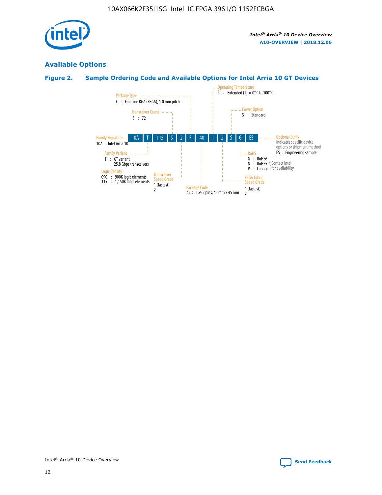

# **Available Options**

# **Figure 2. Sample Ordering Code and Available Options for Intel Arria 10 GT Devices**

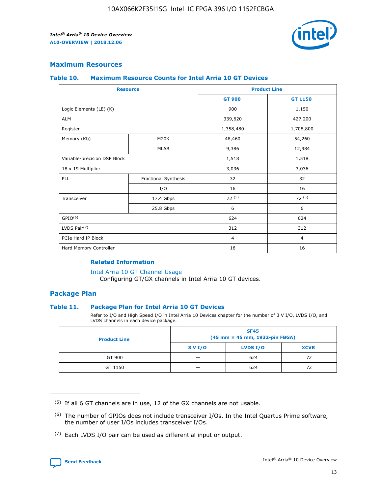

### **Maximum Resources**

### **Table 10. Maximum Resource Counts for Intel Arria 10 GT Devices**

| <b>Resource</b>              |                      |                | <b>Product Line</b> |  |
|------------------------------|----------------------|----------------|---------------------|--|
|                              |                      | <b>GT 900</b>  | <b>GT 1150</b>      |  |
| Logic Elements (LE) (K)      |                      | 900            | 1,150               |  |
| <b>ALM</b>                   |                      | 339,620        | 427,200             |  |
| Register                     |                      | 1,358,480      | 1,708,800           |  |
| Memory (Kb)                  | M20K                 | 48,460         | 54,260              |  |
|                              | <b>MLAB</b>          | 9,386          | 12,984              |  |
| Variable-precision DSP Block |                      | 1,518          | 1,518               |  |
| 18 x 19 Multiplier           |                      | 3,036          | 3,036               |  |
| PLL                          | Fractional Synthesis | 32             | 32                  |  |
|                              | I/O                  | 16             | 16                  |  |
| Transceiver                  | 17.4 Gbps            | 72(5)          | 72(5)               |  |
|                              | 25.8 Gbps            | 6              | 6                   |  |
| GPIO <sup>(6)</sup>          |                      | 624            | 624                 |  |
| LVDS Pair $(7)$              |                      | 312            | 312                 |  |
| PCIe Hard IP Block           |                      | $\overline{4}$ | $\overline{4}$      |  |
| Hard Memory Controller       |                      | 16             | 16                  |  |

### **Related Information**

#### [Intel Arria 10 GT Channel Usage](https://www.intel.com/content/www/us/en/programmable/documentation/nik1398707230472.html#nik1398707008178)

Configuring GT/GX channels in Intel Arria 10 GT devices.

### **Package Plan**

### **Table 11. Package Plan for Intel Arria 10 GT Devices**

Refer to I/O and High Speed I/O in Intel Arria 10 Devices chapter for the number of 3 V I/O, LVDS I/O, and LVDS channels in each device package.

| <b>Product Line</b> | <b>SF45</b><br>(45 mm × 45 mm, 1932-pin FBGA) |                 |             |  |  |  |
|---------------------|-----------------------------------------------|-----------------|-------------|--|--|--|
|                     | 3 V I/O                                       | <b>LVDS I/O</b> | <b>XCVR</b> |  |  |  |
| GT 900              |                                               | 624             | 72          |  |  |  |
| GT 1150             |                                               | 624             | 72          |  |  |  |

<sup>(7)</sup> Each LVDS I/O pair can be used as differential input or output.



 $(5)$  If all 6 GT channels are in use, 12 of the GX channels are not usable.

<sup>(6)</sup> The number of GPIOs does not include transceiver I/Os. In the Intel Quartus Prime software, the number of user I/Os includes transceiver I/Os.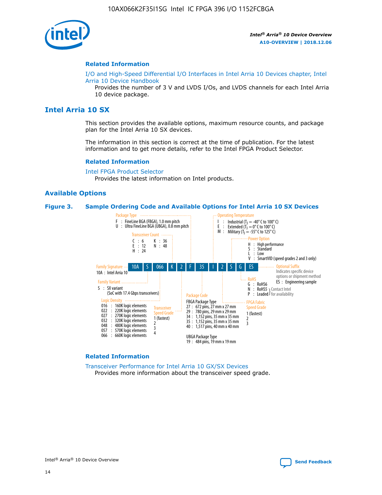

### **Related Information**

[I/O and High-Speed Differential I/O Interfaces in Intel Arria 10 Devices chapter, Intel](https://www.intel.com/content/www/us/en/programmable/documentation/sam1403482614086.html#sam1403482030321) [Arria 10 Device Handbook](https://www.intel.com/content/www/us/en/programmable/documentation/sam1403482614086.html#sam1403482030321)

Provides the number of 3 V and LVDS I/Os, and LVDS channels for each Intel Arria 10 device package.

# **Intel Arria 10 SX**

This section provides the available options, maximum resource counts, and package plan for the Intel Arria 10 SX devices.

The information in this section is correct at the time of publication. For the latest information and to get more details, refer to the Intel FPGA Product Selector.

#### **Related Information**

[Intel FPGA Product Selector](http://www.altera.com/products/selector/psg-selector.html) Provides the latest information on Intel products.

### **Available Options**

### **Figure 3. Sample Ordering Code and Available Options for Intel Arria 10 SX Devices**



#### **Related Information**

[Transceiver Performance for Intel Arria 10 GX/SX Devices](https://www.intel.com/content/www/us/en/programmable/documentation/mcn1413182292568.html#mcn1413213965502) Provides more information about the transceiver speed grade.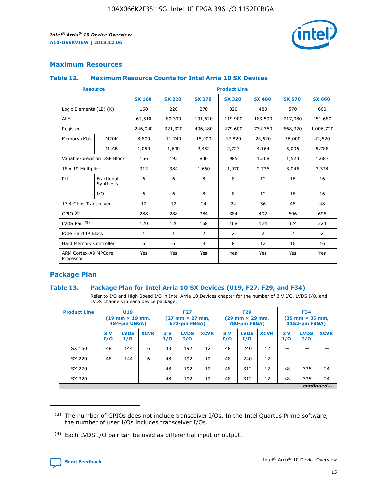

### **Maximum Resources**

### **Table 12. Maximum Resource Counts for Intel Arria 10 SX Devices**

|                                   | <b>Resource</b>         | <b>Product Line</b> |               |                |                |                |                |                |  |  |  |
|-----------------------------------|-------------------------|---------------------|---------------|----------------|----------------|----------------|----------------|----------------|--|--|--|
|                                   |                         | <b>SX 160</b>       | <b>SX 220</b> | <b>SX 270</b>  | <b>SX 320</b>  | <b>SX 480</b>  | <b>SX 570</b>  | <b>SX 660</b>  |  |  |  |
| Logic Elements (LE) (K)           |                         | 160                 | 220           | 270            | 320            | 480            | 570            | 660            |  |  |  |
| <b>ALM</b>                        |                         | 61,510              | 80,330        | 101,620        | 119,900        | 183,590        | 217,080        | 251,680        |  |  |  |
| Register                          |                         | 246,040             | 321,320       | 406,480        | 479,600        | 734,360        | 868,320        | 1,006,720      |  |  |  |
| Memory (Kb)                       | M <sub>20</sub> K       | 8,800               | 11,740        | 15,000         | 17,820         | 28,620         | 36,000         | 42,620         |  |  |  |
|                                   | <b>MLAB</b>             | 1,050               | 1,690         | 2,452          | 2,727          | 4,164          | 5,096          | 5,788          |  |  |  |
| Variable-precision DSP Block      |                         | 156                 | 192           | 830            | 985            | 1,368          | 1,523          | 1,687          |  |  |  |
| 18 x 19 Multiplier                |                         | 312                 | 384           | 1,660          | 1,970          | 2,736          | 3,046          | 3,374          |  |  |  |
| <b>PLL</b>                        | Fractional<br>Synthesis | 6                   | 6             | 8              | 8              | 12             | 16             | 16             |  |  |  |
|                                   | I/O                     | 6                   | 6             | 8              | 8              | 12             | 16             | 16             |  |  |  |
| 17.4 Gbps Transceiver             |                         | 12                  | 12            | 24             | 24             | 36             | 48             | 48             |  |  |  |
| GPIO <sup>(8)</sup>               |                         | 288                 | 288           | 384            | 384            | 492            | 696            | 696            |  |  |  |
| LVDS Pair $(9)$                   |                         | 120                 | 120           | 168            | 168            | 174            | 324            | 324            |  |  |  |
| PCIe Hard IP Block                |                         | $\mathbf{1}$        | $\mathbf{1}$  | $\overline{2}$ | $\overline{2}$ | $\overline{2}$ | $\overline{2}$ | $\overline{2}$ |  |  |  |
| Hard Memory Controller            |                         | 6                   | 6             | 8              | 8              | 12             | 16             | 16             |  |  |  |
| ARM Cortex-A9 MPCore<br>Processor |                         | Yes                 | Yes           | Yes            | Yes            | Yes            | Yes            | Yes            |  |  |  |

### **Package Plan**

### **Table 13. Package Plan for Intel Arria 10 SX Devices (U19, F27, F29, and F34)**

Refer to I/O and High Speed I/O in Intel Arria 10 Devices chapter for the number of 3 V I/O, LVDS I/O, and LVDS channels in each device package.

| <b>Product Line</b> | U19<br>$(19 \text{ mm} \times 19 \text{ mm})$<br>484-pin UBGA) |                    |             | <b>F27</b><br>$(27 \text{ mm} \times 27 \text{ mm})$ .<br>672-pin FBGA) |                    | <b>F29</b><br>$(29 \text{ mm} \times 29 \text{ mm})$ .<br>780-pin FBGA) |            |                    | <b>F34</b><br>$(35 \text{ mm} \times 35 \text{ mm})$<br><b>1152-pin FBGA)</b> |           |                    |             |
|---------------------|----------------------------------------------------------------|--------------------|-------------|-------------------------------------------------------------------------|--------------------|-------------------------------------------------------------------------|------------|--------------------|-------------------------------------------------------------------------------|-----------|--------------------|-------------|
|                     | 3V<br>I/O                                                      | <b>LVDS</b><br>I/O | <b>XCVR</b> | 3V<br>I/O                                                               | <b>LVDS</b><br>I/O | <b>XCVR</b>                                                             | 3 V<br>I/O | <b>LVDS</b><br>I/O | <b>XCVR</b>                                                                   | 3V<br>I/O | <b>LVDS</b><br>I/O | <b>XCVR</b> |
| SX 160              | 48                                                             | 144                | 6           | 48                                                                      | 192                | 12                                                                      | 48         | 240                | 12                                                                            |           |                    |             |
| SX 220              | 48                                                             | 144                | 6           | 48                                                                      | 192                | 12                                                                      | 48         | 240                | 12                                                                            |           |                    |             |
| SX 270              |                                                                |                    |             | 48                                                                      | 192                | 12                                                                      | 48         | 312                | 12                                                                            | 48        | 336                | 24          |
| SX 320              |                                                                |                    |             | 48                                                                      | 192                | 12                                                                      | 48         | 312                | 12                                                                            | 48        | 336                | 24          |
|                     | continued                                                      |                    |             |                                                                         |                    |                                                                         |            |                    |                                                                               |           |                    |             |

 $(8)$  The number of GPIOs does not include transceiver I/Os. In the Intel Quartus Prime software, the number of user I/Os includes transceiver I/Os.

 $(9)$  Each LVDS I/O pair can be used as differential input or output.

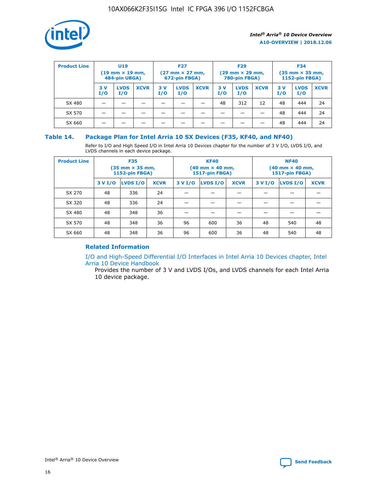

| <b>Product Line</b> | U <sub>19</sub><br>$(19 \text{ mm} \times 19 \text{ mm})$<br>484-pin UBGA) |                    | <b>F27</b><br>$(27 \text{ mm} \times 27 \text{ mm})$<br>672-pin FBGA) |            | <b>F29</b><br>$(29$ mm $\times$ 29 mm,<br>780-pin FBGA) |             |           | <b>F34</b><br>$(35$ mm $\times$ 35 mm,<br><b>1152-pin FBGA)</b> |             |            |                    |             |
|---------------------|----------------------------------------------------------------------------|--------------------|-----------------------------------------------------------------------|------------|---------------------------------------------------------|-------------|-----------|-----------------------------------------------------------------|-------------|------------|--------------------|-------------|
|                     | 3 V<br>I/O                                                                 | <b>LVDS</b><br>I/O | <b>XCVR</b>                                                           | 3 V<br>I/O | <b>LVDS</b><br>I/O                                      | <b>XCVR</b> | 3V<br>I/O | <b>LVDS</b><br>I/O                                              | <b>XCVR</b> | 3 V<br>I/O | <b>LVDS</b><br>I/O | <b>XCVR</b> |
| SX 480              |                                                                            |                    |                                                                       |            |                                                         |             | 48        | 312                                                             | 12          | 48         | 444                | 24          |
| SX 570              |                                                                            |                    |                                                                       |            |                                                         |             |           |                                                                 |             | 48         | 444                | 24          |
| SX 660              |                                                                            |                    |                                                                       |            |                                                         |             |           |                                                                 |             | 48         | 444                | 24          |

### **Table 14. Package Plan for Intel Arria 10 SX Devices (F35, KF40, and NF40)**

Refer to I/O and High Speed I/O in Intel Arria 10 Devices chapter for the number of 3 V I/O, LVDS I/O, and LVDS channels in each device package.

| <b>Product Line</b> | <b>F35</b><br>$(35 \text{ mm} \times 35 \text{ mm})$<br><b>1152-pin FBGA)</b> |          |             |                                           | <b>KF40</b><br>(40 mm × 40 mm,<br>1517-pin FBGA) |    | <b>NF40</b><br>$(40 \text{ mm} \times 40 \text{ mm})$<br>1517-pin FBGA) |          |             |  |
|---------------------|-------------------------------------------------------------------------------|----------|-------------|-------------------------------------------|--------------------------------------------------|----|-------------------------------------------------------------------------|----------|-------------|--|
|                     | 3 V I/O                                                                       | LVDS I/O | <b>XCVR</b> | <b>LVDS I/O</b><br><b>XCVR</b><br>3 V I/O |                                                  |    | 3 V I/O                                                                 | LVDS I/O | <b>XCVR</b> |  |
| SX 270              | 48                                                                            | 336      | 24          |                                           |                                                  |    |                                                                         |          |             |  |
| SX 320              | 48                                                                            | 336      | 24          |                                           |                                                  |    |                                                                         |          |             |  |
| SX 480              | 48                                                                            | 348      | 36          |                                           |                                                  |    |                                                                         |          |             |  |
| SX 570              | 48                                                                            | 348      | 36          | 96<br>36<br>600                           |                                                  | 48 | 540                                                                     | 48       |             |  |
| SX 660              | 48                                                                            | 348      | 36          | 96                                        | 600                                              | 36 | 48                                                                      | 540      | 48          |  |

# **Related Information**

[I/O and High-Speed Differential I/O Interfaces in Intel Arria 10 Devices chapter, Intel](https://www.intel.com/content/www/us/en/programmable/documentation/sam1403482614086.html#sam1403482030321) [Arria 10 Device Handbook](https://www.intel.com/content/www/us/en/programmable/documentation/sam1403482614086.html#sam1403482030321)

Provides the number of 3 V and LVDS I/Os, and LVDS channels for each Intel Arria 10 device package.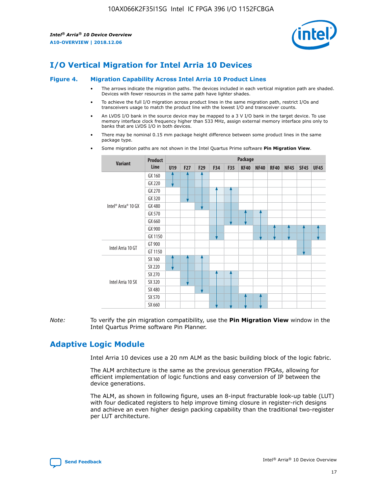

# **I/O Vertical Migration for Intel Arria 10 Devices**

#### **Figure 4. Migration Capability Across Intel Arria 10 Product Lines**

- The arrows indicate the migration paths. The devices included in each vertical migration path are shaded. Devices with fewer resources in the same path have lighter shades.
- To achieve the full I/O migration across product lines in the same migration path, restrict I/Os and transceivers usage to match the product line with the lowest I/O and transceiver counts.
- An LVDS I/O bank in the source device may be mapped to a 3 V I/O bank in the target device. To use memory interface clock frequency higher than 533 MHz, assign external memory interface pins only to banks that are LVDS I/O in both devices.
- There may be nominal 0.15 mm package height difference between some product lines in the same package type.
	- **Variant Product Line Package U19 F27 F29 F34 F35 KF40 NF40 RF40 NF45 SF45 UF45** Intel® Arria® 10 GX GX 160 GX 220 GX 270 GX 320 GX 480 GX 570 GX 660 GX 900 GX 1150 Intel Arria 10 GT GT 900 GT 1150 Intel Arria 10 SX SX 160 SX 220 SX 270 SX 320 SX 480 SX 570 SX 660
- Some migration paths are not shown in the Intel Quartus Prime software **Pin Migration View**.

*Note:* To verify the pin migration compatibility, use the **Pin Migration View** window in the Intel Quartus Prime software Pin Planner.

# **Adaptive Logic Module**

Intel Arria 10 devices use a 20 nm ALM as the basic building block of the logic fabric.

The ALM architecture is the same as the previous generation FPGAs, allowing for efficient implementation of logic functions and easy conversion of IP between the device generations.

The ALM, as shown in following figure, uses an 8-input fracturable look-up table (LUT) with four dedicated registers to help improve timing closure in register-rich designs and achieve an even higher design packing capability than the traditional two-register per LUT architecture.

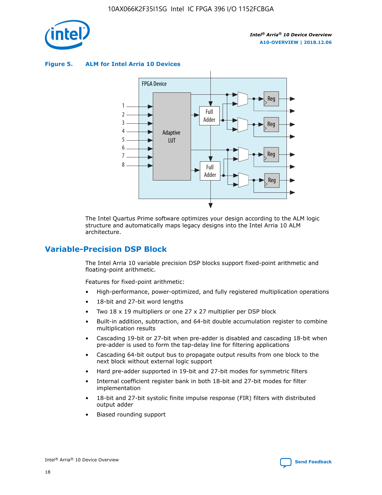

**Figure 5. ALM for Intel Arria 10 Devices**



The Intel Quartus Prime software optimizes your design according to the ALM logic structure and automatically maps legacy designs into the Intel Arria 10 ALM architecture.

# **Variable-Precision DSP Block**

The Intel Arria 10 variable precision DSP blocks support fixed-point arithmetic and floating-point arithmetic.

Features for fixed-point arithmetic:

- High-performance, power-optimized, and fully registered multiplication operations
- 18-bit and 27-bit word lengths
- Two 18 x 19 multipliers or one 27 x 27 multiplier per DSP block
- Built-in addition, subtraction, and 64-bit double accumulation register to combine multiplication results
- Cascading 19-bit or 27-bit when pre-adder is disabled and cascading 18-bit when pre-adder is used to form the tap-delay line for filtering applications
- Cascading 64-bit output bus to propagate output results from one block to the next block without external logic support
- Hard pre-adder supported in 19-bit and 27-bit modes for symmetric filters
- Internal coefficient register bank in both 18-bit and 27-bit modes for filter implementation
- 18-bit and 27-bit systolic finite impulse response (FIR) filters with distributed output adder
- Biased rounding support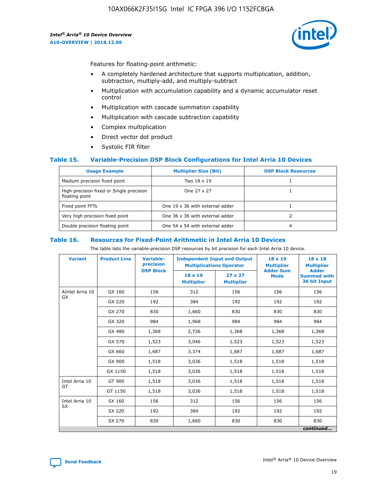

Features for floating-point arithmetic:

- A completely hardened architecture that supports multiplication, addition, subtraction, multiply-add, and multiply-subtract
- Multiplication with accumulation capability and a dynamic accumulator reset control
- Multiplication with cascade summation capability
- Multiplication with cascade subtraction capability
- Complex multiplication
- Direct vector dot product
- Systolic FIR filter

### **Table 15. Variable-Precision DSP Block Configurations for Intel Arria 10 Devices**

| <b>Usage Example</b>                                       | <b>Multiplier Size (Bit)</b>    | <b>DSP Block Resources</b> |
|------------------------------------------------------------|---------------------------------|----------------------------|
| Medium precision fixed point                               | Two 18 x 19                     |                            |
| High precision fixed or Single precision<br>floating point | One 27 x 27                     |                            |
| Fixed point FFTs                                           | One 19 x 36 with external adder |                            |
| Very high precision fixed point                            | One 36 x 36 with external adder |                            |
| Double precision floating point                            | One 54 x 54 with external adder | 4                          |

#### **Table 16. Resources for Fixed-Point Arithmetic in Intel Arria 10 Devices**

The table lists the variable-precision DSP resources by bit precision for each Intel Arria 10 device.

| <b>Variant</b>        | <b>Product Line</b> | <b>Variable-</b><br>precision<br><b>DSP Block</b> | <b>Independent Input and Output</b><br><b>Multiplications Operator</b> |                                     | 18 x 19<br><b>Multiplier</b><br><b>Adder Sum</b> | $18 \times 18$<br><b>Multiplier</b><br><b>Adder</b> |
|-----------------------|---------------------|---------------------------------------------------|------------------------------------------------------------------------|-------------------------------------|--------------------------------------------------|-----------------------------------------------------|
|                       |                     |                                                   | 18 x 19<br><b>Multiplier</b>                                           | $27 \times 27$<br><b>Multiplier</b> | <b>Mode</b>                                      | <b>Summed with</b><br>36 bit Input                  |
| AIntel Arria 10<br>GX | GX 160              | 156                                               | 312                                                                    | 156                                 | 156                                              | 156                                                 |
|                       | GX 220              | 192                                               | 384                                                                    | 192                                 | 192                                              | 192                                                 |
|                       | GX 270              | 830                                               | 1,660                                                                  | 830                                 | 830                                              | 830                                                 |
|                       | GX 320              | 984                                               | 1,968                                                                  | 984                                 | 984                                              | 984                                                 |
|                       | GX 480              | 1,368                                             | 2,736                                                                  | 1,368                               | 1,368                                            | 1,368                                               |
|                       | GX 570              | 1,523                                             | 3,046                                                                  | 1,523                               | 1,523                                            | 1,523                                               |
|                       | GX 660              | 1,687                                             | 3,374                                                                  | 1,687                               | 1,687                                            | 1,687                                               |
|                       | GX 900              | 1,518                                             | 3,036                                                                  | 1,518                               | 1,518                                            | 1,518                                               |
|                       | GX 1150             | 1,518                                             | 3,036                                                                  | 1,518                               | 1,518                                            | 1,518                                               |
| Intel Arria 10        | GT 900              | 1,518                                             | 3,036                                                                  | 1,518                               | 1,518                                            | 1,518                                               |
| GT                    | GT 1150             | 1,518                                             | 3,036                                                                  | 1,518                               | 1,518                                            | 1,518                                               |
| Intel Arria 10        | SX 160              | 156                                               | 312                                                                    | 156                                 | 156                                              | 156                                                 |
| <b>SX</b>             | SX 220              | 192                                               | 384                                                                    | 192                                 | 192                                              | 192                                                 |
|                       | SX 270              | 830                                               | 1,660                                                                  | 830                                 | 830                                              | 830                                                 |
|                       |                     |                                                   |                                                                        |                                     |                                                  | continued                                           |

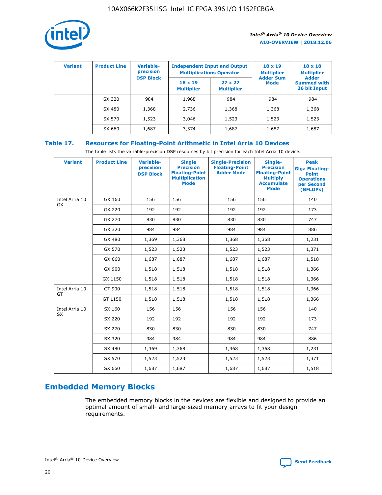

| <b>Variant</b> | <b>Product Line</b> | <b>Variable-</b><br>precision<br><b>DSP Block</b> | <b>Independent Input and Output</b><br><b>Multiplications Operator</b> |                                     | $18 \times 19$<br><b>Multiplier</b><br><b>Adder Sum</b> | $18 \times 18$<br><b>Multiplier</b><br><b>Adder</b> |  |
|----------------|---------------------|---------------------------------------------------|------------------------------------------------------------------------|-------------------------------------|---------------------------------------------------------|-----------------------------------------------------|--|
|                |                     |                                                   | $18 \times 19$<br><b>Multiplier</b>                                    | $27 \times 27$<br><b>Multiplier</b> | <b>Mode</b>                                             | <b>Summed with</b><br>36 bit Input                  |  |
|                | SX 320              | 984                                               | 1,968                                                                  | 984                                 | 984                                                     | 984                                                 |  |
|                | SX 480              | 1,368                                             | 2,736                                                                  | 1,368                               | 1,368                                                   | 1,368                                               |  |
|                | SX 570              | 1,523                                             | 3,046                                                                  | 1,523                               | 1,523                                                   | 1,523                                               |  |
|                | SX 660              | 1,687                                             | 3,374                                                                  | 1,687                               | 1,687                                                   | 1,687                                               |  |

# **Table 17. Resources for Floating-Point Arithmetic in Intel Arria 10 Devices**

The table lists the variable-precision DSP resources by bit precision for each Intel Arria 10 device.

| <b>Variant</b>       | <b>Product Line</b> | <b>Variable-</b><br>precision<br><b>DSP Block</b> | <b>Single</b><br><b>Precision</b><br><b>Floating-Point</b><br><b>Multiplication</b><br><b>Mode</b> | <b>Single-Precision</b><br><b>Floating-Point</b><br><b>Adder Mode</b> | Single-<br><b>Precision</b><br><b>Floating-Point</b><br><b>Multiply</b><br><b>Accumulate</b><br><b>Mode</b> | <b>Peak</b><br><b>Giga Floating-</b><br><b>Point</b><br><b>Operations</b><br>per Second<br>(GFLOPs) |
|----------------------|---------------------|---------------------------------------------------|----------------------------------------------------------------------------------------------------|-----------------------------------------------------------------------|-------------------------------------------------------------------------------------------------------------|-----------------------------------------------------------------------------------------------------|
| Intel Arria 10<br>GX | GX 160              | 156                                               | 156                                                                                                | 156                                                                   | 156                                                                                                         | 140                                                                                                 |
|                      | GX 220              | 192                                               | 192                                                                                                | 192                                                                   | 192                                                                                                         | 173                                                                                                 |
|                      | GX 270              | 830                                               | 830                                                                                                | 830                                                                   | 830                                                                                                         | 747                                                                                                 |
|                      | GX 320              | 984                                               | 984                                                                                                | 984                                                                   | 984                                                                                                         | 886                                                                                                 |
|                      | GX 480              | 1,369                                             | 1,368                                                                                              | 1,368                                                                 | 1,368                                                                                                       | 1,231                                                                                               |
|                      | GX 570              | 1,523                                             | 1,523                                                                                              | 1,523                                                                 | 1,523                                                                                                       | 1,371                                                                                               |
|                      | GX 660              | 1,687                                             | 1,687                                                                                              | 1,687                                                                 | 1,687                                                                                                       | 1,518                                                                                               |
|                      | GX 900              | 1,518                                             | 1,518                                                                                              | 1,518                                                                 | 1,518                                                                                                       | 1,366                                                                                               |
|                      | GX 1150             | 1,518                                             | 1,518                                                                                              | 1,518                                                                 | 1,518                                                                                                       | 1,366                                                                                               |
| Intel Arria 10       | GT 900              | 1,518                                             | 1,518                                                                                              | 1,518                                                                 | 1,518                                                                                                       | 1,366                                                                                               |
| GT                   | GT 1150             | 1,518                                             | 1,518                                                                                              | 1,518                                                                 | 1,518                                                                                                       | 1,366                                                                                               |
| Intel Arria 10       | SX 160              | 156                                               | 156                                                                                                | 156                                                                   | 156                                                                                                         | 140                                                                                                 |
| <b>SX</b>            | SX 220              | 192                                               | 192                                                                                                | 192                                                                   | 192                                                                                                         | 173                                                                                                 |
|                      | SX 270              | 830                                               | 830                                                                                                | 830                                                                   | 830                                                                                                         | 747                                                                                                 |
|                      | SX 320              | 984                                               | 984                                                                                                | 984                                                                   | 984                                                                                                         | 886                                                                                                 |
|                      | SX 480              | 1,369                                             | 1,368                                                                                              | 1,368                                                                 | 1,368                                                                                                       | 1,231                                                                                               |
|                      | SX 570              | 1,523                                             | 1,523                                                                                              | 1,523                                                                 | 1,523                                                                                                       | 1,371                                                                                               |
|                      | SX 660              | 1,687                                             | 1,687                                                                                              | 1,687                                                                 | 1,687                                                                                                       | 1,518                                                                                               |

# **Embedded Memory Blocks**

The embedded memory blocks in the devices are flexible and designed to provide an optimal amount of small- and large-sized memory arrays to fit your design requirements.

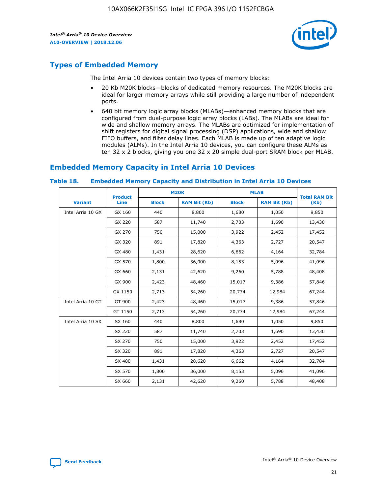

# **Types of Embedded Memory**

The Intel Arria 10 devices contain two types of memory blocks:

- 20 Kb M20K blocks—blocks of dedicated memory resources. The M20K blocks are ideal for larger memory arrays while still providing a large number of independent ports.
- 640 bit memory logic array blocks (MLABs)—enhanced memory blocks that are configured from dual-purpose logic array blocks (LABs). The MLABs are ideal for wide and shallow memory arrays. The MLABs are optimized for implementation of shift registers for digital signal processing (DSP) applications, wide and shallow FIFO buffers, and filter delay lines. Each MLAB is made up of ten adaptive logic modules (ALMs). In the Intel Arria 10 devices, you can configure these ALMs as ten 32 x 2 blocks, giving you one 32 x 20 simple dual-port SRAM block per MLAB.

# **Embedded Memory Capacity in Intel Arria 10 Devices**

|                   | <b>Product</b> |              | <b>M20K</b>         | <b>MLAB</b>  |                     | <b>Total RAM Bit</b> |
|-------------------|----------------|--------------|---------------------|--------------|---------------------|----------------------|
| <b>Variant</b>    | <b>Line</b>    | <b>Block</b> | <b>RAM Bit (Kb)</b> | <b>Block</b> | <b>RAM Bit (Kb)</b> | (Kb)                 |
| Intel Arria 10 GX | GX 160         | 440          | 8,800               | 1,680        | 1,050               | 9,850                |
|                   | GX 220         | 587          | 11,740              | 2,703        | 1,690               | 13,430               |
|                   | GX 270         | 750          | 15,000              | 3,922        | 2,452               | 17,452               |
|                   | GX 320         | 891          | 17,820              | 4,363        | 2,727               | 20,547               |
|                   | GX 480         | 1,431        | 28,620              | 6,662        | 4,164               | 32,784               |
|                   | GX 570         | 1,800        | 36,000              | 8,153        | 5,096               | 41,096               |
|                   | GX 660         | 2,131        | 42,620              | 9,260        | 5,788               | 48,408               |
|                   | GX 900         | 2,423        | 48,460              | 15,017       | 9,386               | 57,846               |
|                   | GX 1150        | 2,713        | 54,260              | 20,774       | 12,984              | 67,244               |
| Intel Arria 10 GT | GT 900         | 2,423        | 48,460              | 15,017       | 9,386               | 57,846               |
|                   | GT 1150        | 2,713        | 54,260              | 20,774       | 12,984              | 67,244               |
| Intel Arria 10 SX | SX 160         | 440          | 8,800               | 1,680        | 1,050               | 9,850                |
|                   | SX 220         | 587          | 11,740              | 2,703        | 1,690               | 13,430               |
|                   | SX 270         | 750          | 15,000              | 3,922        | 2,452               | 17,452               |
|                   | SX 320         | 891          | 17,820              | 4,363        | 2,727               | 20,547               |
|                   | SX 480         | 1,431        | 28,620              | 6,662        | 4,164               | 32,784               |
|                   | SX 570         | 1,800        | 36,000              | 8,153        | 5,096               | 41,096               |
|                   | SX 660         | 2,131        | 42,620              | 9,260        | 5,788               | 48,408               |

#### **Table 18. Embedded Memory Capacity and Distribution in Intel Arria 10 Devices**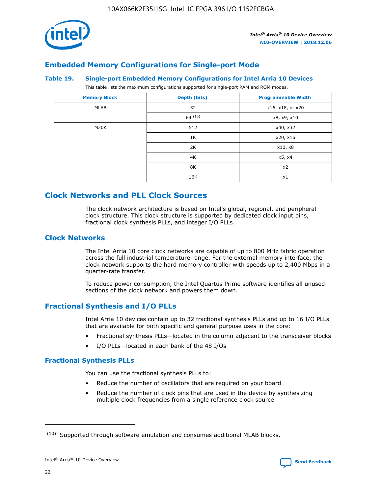

# **Embedded Memory Configurations for Single-port Mode**

### **Table 19. Single-port Embedded Memory Configurations for Intel Arria 10 Devices**

This table lists the maximum configurations supported for single-port RAM and ROM modes.

| <b>Memory Block</b> | Depth (bits) | <b>Programmable Width</b> |
|---------------------|--------------|---------------------------|
| MLAB                | 32           | x16, x18, or x20          |
|                     | 64(10)       | x8, x9, x10               |
| M20K                | 512          | x40, x32                  |
|                     | 1K           | x20, x16                  |
|                     | 2K           | x10, x8                   |
|                     | 4K           | x5, x4                    |
|                     | 8K           | x2                        |
|                     | 16K          | x1                        |

# **Clock Networks and PLL Clock Sources**

The clock network architecture is based on Intel's global, regional, and peripheral clock structure. This clock structure is supported by dedicated clock input pins, fractional clock synthesis PLLs, and integer I/O PLLs.

### **Clock Networks**

The Intel Arria 10 core clock networks are capable of up to 800 MHz fabric operation across the full industrial temperature range. For the external memory interface, the clock network supports the hard memory controller with speeds up to 2,400 Mbps in a quarter-rate transfer.

To reduce power consumption, the Intel Quartus Prime software identifies all unused sections of the clock network and powers them down.

# **Fractional Synthesis and I/O PLLs**

Intel Arria 10 devices contain up to 32 fractional synthesis PLLs and up to 16 I/O PLLs that are available for both specific and general purpose uses in the core:

- Fractional synthesis PLLs—located in the column adjacent to the transceiver blocks
- I/O PLLs—located in each bank of the 48 I/Os

### **Fractional Synthesis PLLs**

You can use the fractional synthesis PLLs to:

- Reduce the number of oscillators that are required on your board
- Reduce the number of clock pins that are used in the device by synthesizing multiple clock frequencies from a single reference clock source

<sup>(10)</sup> Supported through software emulation and consumes additional MLAB blocks.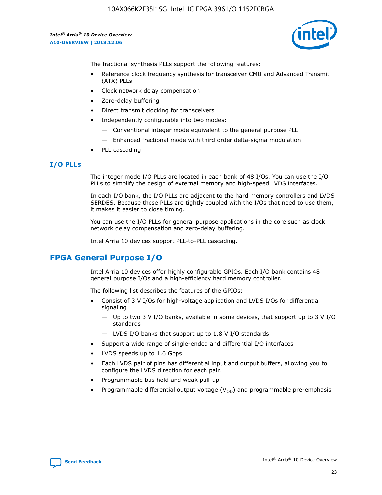

The fractional synthesis PLLs support the following features:

- Reference clock frequency synthesis for transceiver CMU and Advanced Transmit (ATX) PLLs
- Clock network delay compensation
- Zero-delay buffering
- Direct transmit clocking for transceivers
- Independently configurable into two modes:
	- Conventional integer mode equivalent to the general purpose PLL
	- Enhanced fractional mode with third order delta-sigma modulation
- PLL cascading

### **I/O PLLs**

The integer mode I/O PLLs are located in each bank of 48 I/Os. You can use the I/O PLLs to simplify the design of external memory and high-speed LVDS interfaces.

In each I/O bank, the I/O PLLs are adjacent to the hard memory controllers and LVDS SERDES. Because these PLLs are tightly coupled with the I/Os that need to use them, it makes it easier to close timing.

You can use the I/O PLLs for general purpose applications in the core such as clock network delay compensation and zero-delay buffering.

Intel Arria 10 devices support PLL-to-PLL cascading.

# **FPGA General Purpose I/O**

Intel Arria 10 devices offer highly configurable GPIOs. Each I/O bank contains 48 general purpose I/Os and a high-efficiency hard memory controller.

The following list describes the features of the GPIOs:

- Consist of 3 V I/Os for high-voltage application and LVDS I/Os for differential signaling
	- Up to two 3 V I/O banks, available in some devices, that support up to 3 V I/O standards
	- LVDS I/O banks that support up to 1.8 V I/O standards
- Support a wide range of single-ended and differential I/O interfaces
- LVDS speeds up to 1.6 Gbps
- Each LVDS pair of pins has differential input and output buffers, allowing you to configure the LVDS direction for each pair.
- Programmable bus hold and weak pull-up
- Programmable differential output voltage  $(V_{OD})$  and programmable pre-emphasis

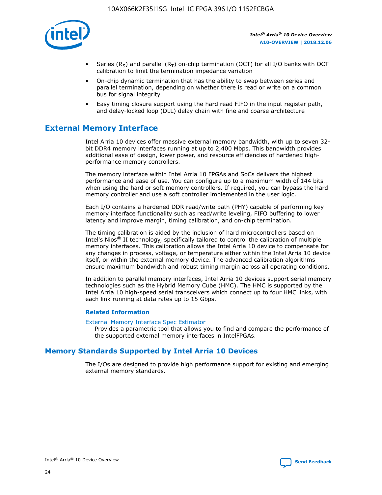

- Series (R<sub>S</sub>) and parallel (R<sub>T</sub>) on-chip termination (OCT) for all I/O banks with OCT calibration to limit the termination impedance variation
- On-chip dynamic termination that has the ability to swap between series and parallel termination, depending on whether there is read or write on a common bus for signal integrity
- Easy timing closure support using the hard read FIFO in the input register path, and delay-locked loop (DLL) delay chain with fine and coarse architecture

# **External Memory Interface**

Intel Arria 10 devices offer massive external memory bandwidth, with up to seven 32 bit DDR4 memory interfaces running at up to 2,400 Mbps. This bandwidth provides additional ease of design, lower power, and resource efficiencies of hardened highperformance memory controllers.

The memory interface within Intel Arria 10 FPGAs and SoCs delivers the highest performance and ease of use. You can configure up to a maximum width of 144 bits when using the hard or soft memory controllers. If required, you can bypass the hard memory controller and use a soft controller implemented in the user logic.

Each I/O contains a hardened DDR read/write path (PHY) capable of performing key memory interface functionality such as read/write leveling, FIFO buffering to lower latency and improve margin, timing calibration, and on-chip termination.

The timing calibration is aided by the inclusion of hard microcontrollers based on Intel's Nios® II technology, specifically tailored to control the calibration of multiple memory interfaces. This calibration allows the Intel Arria 10 device to compensate for any changes in process, voltage, or temperature either within the Intel Arria 10 device itself, or within the external memory device. The advanced calibration algorithms ensure maximum bandwidth and robust timing margin across all operating conditions.

In addition to parallel memory interfaces, Intel Arria 10 devices support serial memory technologies such as the Hybrid Memory Cube (HMC). The HMC is supported by the Intel Arria 10 high-speed serial transceivers which connect up to four HMC links, with each link running at data rates up to 15 Gbps.

### **Related Information**

#### [External Memory Interface Spec Estimator](http://www.altera.com/technology/memory/estimator/mem-emif-index.html)

Provides a parametric tool that allows you to find and compare the performance of the supported external memory interfaces in IntelFPGAs.

# **Memory Standards Supported by Intel Arria 10 Devices**

The I/Os are designed to provide high performance support for existing and emerging external memory standards.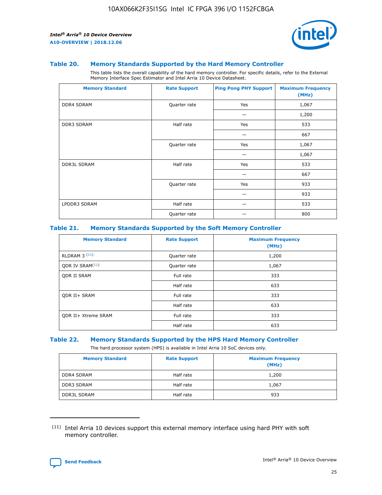

### **Table 20. Memory Standards Supported by the Hard Memory Controller**

This table lists the overall capability of the hard memory controller. For specific details, refer to the External Memory Interface Spec Estimator and Intel Arria 10 Device Datasheet.

| <b>Memory Standard</b> | <b>Rate Support</b> | <b>Ping Pong PHY Support</b> | <b>Maximum Frequency</b><br>(MHz) |
|------------------------|---------------------|------------------------------|-----------------------------------|
| <b>DDR4 SDRAM</b>      | Quarter rate        | Yes                          | 1,067                             |
|                        |                     |                              | 1,200                             |
| <b>DDR3 SDRAM</b>      | Half rate           | Yes                          | 533                               |
|                        |                     |                              | 667                               |
|                        | Quarter rate        | Yes                          | 1,067                             |
|                        |                     |                              | 1,067                             |
| <b>DDR3L SDRAM</b>     | Half rate           | Yes                          | 533                               |
|                        |                     |                              | 667                               |
|                        | Quarter rate        | Yes                          | 933                               |
|                        |                     |                              | 933                               |
| LPDDR3 SDRAM           | Half rate           |                              | 533                               |
|                        | Quarter rate        |                              | 800                               |

### **Table 21. Memory Standards Supported by the Soft Memory Controller**

| <b>Memory Standard</b>      | <b>Rate Support</b> | <b>Maximum Frequency</b><br>(MHz) |
|-----------------------------|---------------------|-----------------------------------|
| <b>RLDRAM 3 (11)</b>        | Quarter rate        | 1,200                             |
| ODR IV SRAM <sup>(11)</sup> | Quarter rate        | 1,067                             |
| <b>ODR II SRAM</b>          | Full rate           | 333                               |
|                             | Half rate           | 633                               |
| <b>ODR II+ SRAM</b>         | Full rate           | 333                               |
|                             | Half rate           | 633                               |
| <b>ODR II+ Xtreme SRAM</b>  | Full rate           | 333                               |
|                             | Half rate           | 633                               |

#### **Table 22. Memory Standards Supported by the HPS Hard Memory Controller**

The hard processor system (HPS) is available in Intel Arria 10 SoC devices only.

| <b>Memory Standard</b> | <b>Rate Support</b> | <b>Maximum Frequency</b><br>(MHz) |
|------------------------|---------------------|-----------------------------------|
| <b>DDR4 SDRAM</b>      | Half rate           | 1,200                             |
| <b>DDR3 SDRAM</b>      | Half rate           | 1,067                             |
| <b>DDR3L SDRAM</b>     | Half rate           | 933                               |

<sup>(11)</sup> Intel Arria 10 devices support this external memory interface using hard PHY with soft memory controller.

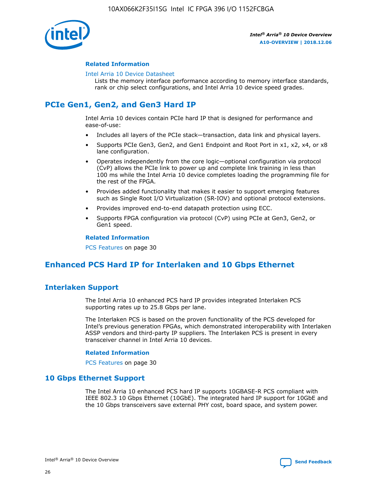

### **Related Information**

#### [Intel Arria 10 Device Datasheet](https://www.intel.com/content/www/us/en/programmable/documentation/mcn1413182292568.html#mcn1413182153340)

Lists the memory interface performance according to memory interface standards, rank or chip select configurations, and Intel Arria 10 device speed grades.

# **PCIe Gen1, Gen2, and Gen3 Hard IP**

Intel Arria 10 devices contain PCIe hard IP that is designed for performance and ease-of-use:

- Includes all layers of the PCIe stack—transaction, data link and physical layers.
- Supports PCIe Gen3, Gen2, and Gen1 Endpoint and Root Port in x1, x2, x4, or x8 lane configuration.
- Operates independently from the core logic—optional configuration via protocol (CvP) allows the PCIe link to power up and complete link training in less than 100 ms while the Intel Arria 10 device completes loading the programming file for the rest of the FPGA.
- Provides added functionality that makes it easier to support emerging features such as Single Root I/O Virtualization (SR-IOV) and optional protocol extensions.
- Provides improved end-to-end datapath protection using ECC.
- Supports FPGA configuration via protocol (CvP) using PCIe at Gen3, Gen2, or Gen1 speed.

#### **Related Information**

PCS Features on page 30

# **Enhanced PCS Hard IP for Interlaken and 10 Gbps Ethernet**

# **Interlaken Support**

The Intel Arria 10 enhanced PCS hard IP provides integrated Interlaken PCS supporting rates up to 25.8 Gbps per lane.

The Interlaken PCS is based on the proven functionality of the PCS developed for Intel's previous generation FPGAs, which demonstrated interoperability with Interlaken ASSP vendors and third-party IP suppliers. The Interlaken PCS is present in every transceiver channel in Intel Arria 10 devices.

### **Related Information**

PCS Features on page 30

### **10 Gbps Ethernet Support**

The Intel Arria 10 enhanced PCS hard IP supports 10GBASE-R PCS compliant with IEEE 802.3 10 Gbps Ethernet (10GbE). The integrated hard IP support for 10GbE and the 10 Gbps transceivers save external PHY cost, board space, and system power.

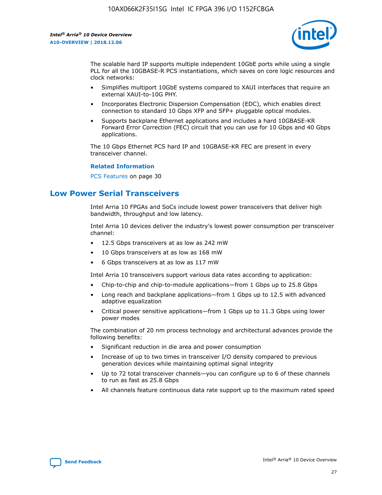

The scalable hard IP supports multiple independent 10GbE ports while using a single PLL for all the 10GBASE-R PCS instantiations, which saves on core logic resources and clock networks:

- Simplifies multiport 10GbE systems compared to XAUI interfaces that require an external XAUI-to-10G PHY.
- Incorporates Electronic Dispersion Compensation (EDC), which enables direct connection to standard 10 Gbps XFP and SFP+ pluggable optical modules.
- Supports backplane Ethernet applications and includes a hard 10GBASE-KR Forward Error Correction (FEC) circuit that you can use for 10 Gbps and 40 Gbps applications.

The 10 Gbps Ethernet PCS hard IP and 10GBASE-KR FEC are present in every transceiver channel.

### **Related Information**

PCS Features on page 30

# **Low Power Serial Transceivers**

Intel Arria 10 FPGAs and SoCs include lowest power transceivers that deliver high bandwidth, throughput and low latency.

Intel Arria 10 devices deliver the industry's lowest power consumption per transceiver channel:

- 12.5 Gbps transceivers at as low as 242 mW
- 10 Gbps transceivers at as low as 168 mW
- 6 Gbps transceivers at as low as 117 mW

Intel Arria 10 transceivers support various data rates according to application:

- Chip-to-chip and chip-to-module applications—from 1 Gbps up to 25.8 Gbps
- Long reach and backplane applications—from 1 Gbps up to 12.5 with advanced adaptive equalization
- Critical power sensitive applications—from 1 Gbps up to 11.3 Gbps using lower power modes

The combination of 20 nm process technology and architectural advances provide the following benefits:

- Significant reduction in die area and power consumption
- Increase of up to two times in transceiver I/O density compared to previous generation devices while maintaining optimal signal integrity
- Up to 72 total transceiver channels—you can configure up to 6 of these channels to run as fast as 25.8 Gbps
- All channels feature continuous data rate support up to the maximum rated speed

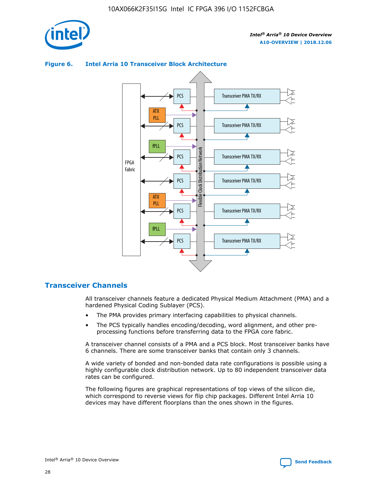



### **Figure 6. Intel Arria 10 Transceiver Block Architecture**

# **Transceiver Channels**

All transceiver channels feature a dedicated Physical Medium Attachment (PMA) and a hardened Physical Coding Sublayer (PCS).

- The PMA provides primary interfacing capabilities to physical channels.
- The PCS typically handles encoding/decoding, word alignment, and other preprocessing functions before transferring data to the FPGA core fabric.

A transceiver channel consists of a PMA and a PCS block. Most transceiver banks have 6 channels. There are some transceiver banks that contain only 3 channels.

A wide variety of bonded and non-bonded data rate configurations is possible using a highly configurable clock distribution network. Up to 80 independent transceiver data rates can be configured.

The following figures are graphical representations of top views of the silicon die, which correspond to reverse views for flip chip packages. Different Intel Arria 10 devices may have different floorplans than the ones shown in the figures.

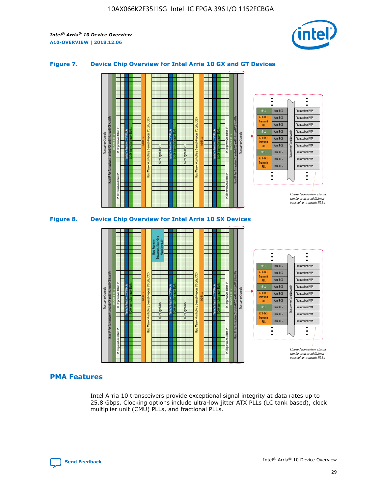

### **Figure 7. Device Chip Overview for Intel Arria 10 GX and GT Devices**



M20K Internal Memory Blocks Core Logic Fabric Transceiver Channels Hard IP Per Transceiver: Standard PCS and Enhanced PCS Hard IPs PCI Express Gen3 Hard IP Fractional PLLs M20K Internal Memory Blocks PCI Express Gen3 Hard IP Variable Precision DSP Blocks I/O PLLs Hard Memory Controllers, General-Purpose I/O Cells, LVDS Hard Processor Subsystem, Dual-Core ARM Cortex A9 M20K Internal Memory Blocks Variable Precision DSP Blocks M20K Internal Memory Blocks Core Logic Fabric I/O PLLs Hard Memory Controllers, General-Purpose I/O Cells, LVDS M20K Internal Memory Blocks Variable Precision DSP Blocks M20K Internal Memory Blocks Transceiver Channels Hard IP Per Transceiver: Standard PCS and Enhanced PCS Hard IPs PCI Express Gen3 Hard IP Fractional PLLs PCI Express Gen3 Hard IP  $\ddot{\cdot}$ Hard PCS Transceiver PMA fPLL ATX (LC) Hard PCS Transceiver PMA **Transmit** Hard PCS Transceiver PMA PLL fPLL Hard PCS Transceiver PMA Transceiver Clock Networks ATX (LC) Hard PCS Transceiver PMA Transmi Hard PCS Transceiver PMA PLL fPLL Hard PCS Transceiver PMA Transceiver PMA Hard PCS ATX (LC) **Transmit** Hard PCS Transceiver PMA PLL Unused transceiver chann can be used as additional transceiver transmit PLLs

### **PMA Features**

Intel Arria 10 transceivers provide exceptional signal integrity at data rates up to 25.8 Gbps. Clocking options include ultra-low jitter ATX PLLs (LC tank based), clock multiplier unit (CMU) PLLs, and fractional PLLs.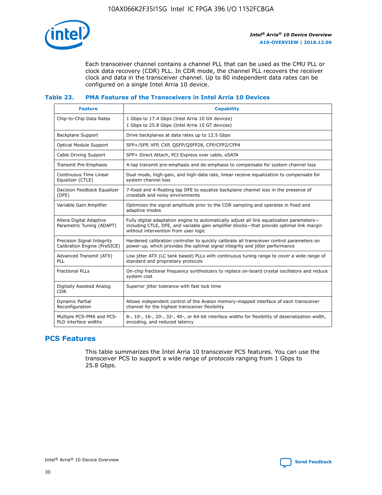

Each transceiver channel contains a channel PLL that can be used as the CMU PLL or clock data recovery (CDR) PLL. In CDR mode, the channel PLL recovers the receiver clock and data in the transceiver channel. Up to 80 independent data rates can be configured on a single Intel Arria 10 device.

### **Table 23. PMA Features of the Transceivers in Intel Arria 10 Devices**

| <b>Feature</b>                                             | <b>Capability</b>                                                                                                                                                                                                             |
|------------------------------------------------------------|-------------------------------------------------------------------------------------------------------------------------------------------------------------------------------------------------------------------------------|
| Chip-to-Chip Data Rates                                    | 1 Gbps to 17.4 Gbps (Intel Arria 10 GX devices)<br>1 Gbps to 25.8 Gbps (Intel Arria 10 GT devices)                                                                                                                            |
| <b>Backplane Support</b>                                   | Drive backplanes at data rates up to 12.5 Gbps                                                                                                                                                                                |
| <b>Optical Module Support</b>                              | SFP+/SFP, XFP, CXP, QSFP/QSFP28, CFP/CFP2/CFP4                                                                                                                                                                                |
| Cable Driving Support                                      | SFP+ Direct Attach, PCI Express over cable, eSATA                                                                                                                                                                             |
| Transmit Pre-Emphasis                                      | 4-tap transmit pre-emphasis and de-emphasis to compensate for system channel loss                                                                                                                                             |
| Continuous Time Linear<br>Equalizer (CTLE)                 | Dual mode, high-gain, and high-data rate, linear receive equalization to compensate for<br>system channel loss                                                                                                                |
| Decision Feedback Equalizer<br>(DFE)                       | 7-fixed and 4-floating tap DFE to equalize backplane channel loss in the presence of<br>crosstalk and noisy environments                                                                                                      |
| Variable Gain Amplifier                                    | Optimizes the signal amplitude prior to the CDR sampling and operates in fixed and<br>adaptive modes                                                                                                                          |
| Altera Digital Adaptive<br>Parametric Tuning (ADAPT)       | Fully digital adaptation engine to automatically adjust all link equalization parameters-<br>including CTLE, DFE, and variable gain amplifier blocks—that provide optimal link margin<br>without intervention from user logic |
| Precision Signal Integrity<br>Calibration Engine (PreSICE) | Hardened calibration controller to quickly calibrate all transceiver control parameters on<br>power-up, which provides the optimal signal integrity and jitter performance                                                    |
| Advanced Transmit (ATX)<br>PLL                             | Low jitter ATX (LC tank based) PLLs with continuous tuning range to cover a wide range of<br>standard and proprietary protocols                                                                                               |
| <b>Fractional PLLs</b>                                     | On-chip fractional frequency synthesizers to replace on-board crystal oscillators and reduce<br>system cost                                                                                                                   |
| Digitally Assisted Analog<br><b>CDR</b>                    | Superior jitter tolerance with fast lock time                                                                                                                                                                                 |
| Dynamic Partial<br>Reconfiguration                         | Allows independent control of the Avalon memory-mapped interface of each transceiver<br>channel for the highest transceiver flexibility                                                                                       |
| Multiple PCS-PMA and PCS-<br>PLD interface widths          | 8-, 10-, 16-, 20-, 32-, 40-, or 64-bit interface widths for flexibility of deserialization width,<br>encoding, and reduced latency                                                                                            |

# **PCS Features**

This table summarizes the Intel Arria 10 transceiver PCS features. You can use the transceiver PCS to support a wide range of protocols ranging from 1 Gbps to 25.8 Gbps.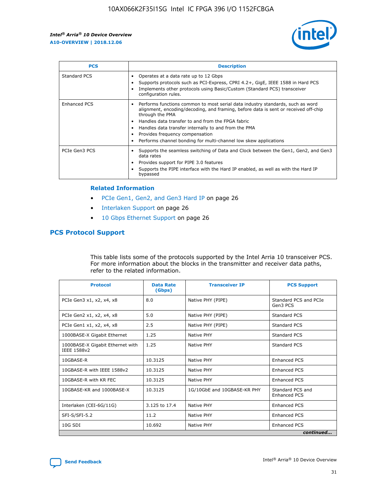

| <b>PCS</b>    | <b>Description</b>                                                                                                                                                                                                                                                                                                                                                                                             |
|---------------|----------------------------------------------------------------------------------------------------------------------------------------------------------------------------------------------------------------------------------------------------------------------------------------------------------------------------------------------------------------------------------------------------------------|
| Standard PCS  | Operates at a data rate up to 12 Gbps<br>Supports protocols such as PCI-Express, CPRI 4.2+, GigE, IEEE 1588 in Hard PCS<br>Implements other protocols using Basic/Custom (Standard PCS) transceiver<br>configuration rules.                                                                                                                                                                                    |
| Enhanced PCS  | Performs functions common to most serial data industry standards, such as word<br>alignment, encoding/decoding, and framing, before data is sent or received off-chip<br>through the PMA<br>• Handles data transfer to and from the FPGA fabric<br>Handles data transfer internally to and from the PMA<br>Provides frequency compensation<br>Performs channel bonding for multi-channel low skew applications |
| PCIe Gen3 PCS | Supports the seamless switching of Data and Clock between the Gen1, Gen2, and Gen3<br>data rates<br>Provides support for PIPE 3.0 features<br>Supports the PIPE interface with the Hard IP enabled, as well as with the Hard IP<br>bypassed                                                                                                                                                                    |

### **Related Information**

- PCIe Gen1, Gen2, and Gen3 Hard IP on page 26
- Interlaken Support on page 26
- 10 Gbps Ethernet Support on page 26

# **PCS Protocol Support**

This table lists some of the protocols supported by the Intel Arria 10 transceiver PCS. For more information about the blocks in the transmitter and receiver data paths, refer to the related information.

| <b>Protocol</b>                                 | <b>Data Rate</b><br>(Gbps) | <b>Transceiver IP</b>       | <b>PCS Support</b>                      |
|-------------------------------------------------|----------------------------|-----------------------------|-----------------------------------------|
| PCIe Gen3 x1, x2, x4, x8                        | 8.0                        | Native PHY (PIPE)           | Standard PCS and PCIe<br>Gen3 PCS       |
| PCIe Gen2 x1, x2, x4, x8                        | 5.0                        | Native PHY (PIPE)           | <b>Standard PCS</b>                     |
| PCIe Gen1 x1, x2, x4, x8                        | 2.5                        | Native PHY (PIPE)           | Standard PCS                            |
| 1000BASE-X Gigabit Ethernet                     | 1.25                       | Native PHY                  | <b>Standard PCS</b>                     |
| 1000BASE-X Gigabit Ethernet with<br>IEEE 1588v2 | 1.25                       | Native PHY                  | Standard PCS                            |
| 10GBASE-R                                       | 10.3125                    | Native PHY                  | Enhanced PCS                            |
| 10GBASE-R with IEEE 1588v2                      | 10.3125                    | Native PHY                  | <b>Enhanced PCS</b>                     |
| 10GBASE-R with KR FEC                           | 10.3125                    | Native PHY                  | Enhanced PCS                            |
| 10GBASE-KR and 1000BASE-X                       | 10.3125                    | 1G/10GbE and 10GBASE-KR PHY | Standard PCS and<br><b>Enhanced PCS</b> |
| Interlaken (CEI-6G/11G)                         | 3.125 to 17.4              | Native PHY                  | <b>Enhanced PCS</b>                     |
| SFI-S/SFI-5.2                                   | 11.2                       | Native PHY                  | <b>Enhanced PCS</b>                     |
| 10G SDI                                         | 10.692                     | Native PHY                  | Enhanced PCS                            |
|                                                 |                            |                             | continued                               |



**[Send Feedback](mailto:FPGAtechdocfeedback@intel.com?subject=Feedback%20on%20Intel%20Arria%2010%20Device%20Overview%20(A10-OVERVIEW%202018.12.06)&body=We%20appreciate%20your%20feedback.%20In%20your%20comments,%20also%20specify%20the%20page%20number%20or%20paragraph.%20Thank%20you.) Intel®** Arria<sup>®</sup> 10 Device Overview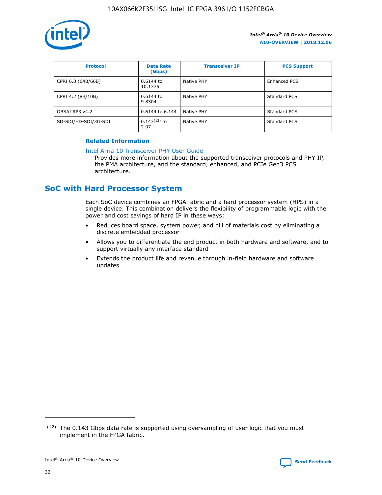

| <b>Protocol</b>      | <b>Data Rate</b><br>(Gbps) | <b>Transceiver IP</b> | <b>PCS Support</b> |
|----------------------|----------------------------|-----------------------|--------------------|
| CPRI 6.0 (64B/66B)   | 0.6144 to<br>10.1376       | Native PHY            | Enhanced PCS       |
| CPRI 4.2 (8B/10B)    | 0.6144 to<br>9.8304        | Native PHY            | Standard PCS       |
| OBSAI RP3 v4.2       | 0.6144 to 6.144            | Native PHY            | Standard PCS       |
| SD-SDI/HD-SDI/3G-SDI | $0.143(12)$ to<br>2.97     | Native PHY            | Standard PCS       |

### **Related Information**

### [Intel Arria 10 Transceiver PHY User Guide](https://www.intel.com/content/www/us/en/programmable/documentation/nik1398707230472.html#nik1398707091164)

Provides more information about the supported transceiver protocols and PHY IP, the PMA architecture, and the standard, enhanced, and PCIe Gen3 PCS architecture.

# **SoC with Hard Processor System**

Each SoC device combines an FPGA fabric and a hard processor system (HPS) in a single device. This combination delivers the flexibility of programmable logic with the power and cost savings of hard IP in these ways:

- Reduces board space, system power, and bill of materials cost by eliminating a discrete embedded processor
- Allows you to differentiate the end product in both hardware and software, and to support virtually any interface standard
- Extends the product life and revenue through in-field hardware and software updates

 $(12)$  The 0.143 Gbps data rate is supported using oversampling of user logic that you must implement in the FPGA fabric.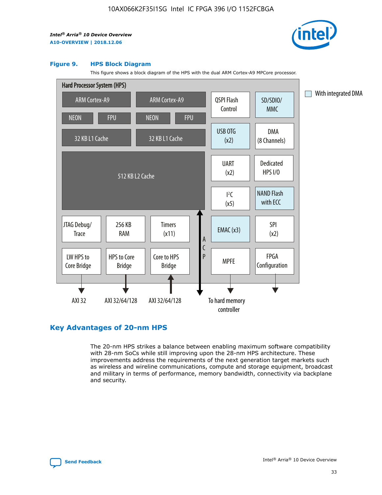

### **Figure 9. HPS Block Diagram**

This figure shows a block diagram of the HPS with the dual ARM Cortex-A9 MPCore processor.



# **Key Advantages of 20-nm HPS**

The 20-nm HPS strikes a balance between enabling maximum software compatibility with 28-nm SoCs while still improving upon the 28-nm HPS architecture. These improvements address the requirements of the next generation target markets such as wireless and wireline communications, compute and storage equipment, broadcast and military in terms of performance, memory bandwidth, connectivity via backplane and security.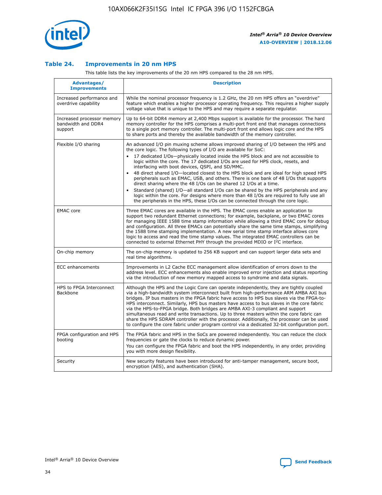

### **Table 24. Improvements in 20 nm HPS**

This table lists the key improvements of the 20 nm HPS compared to the 28 nm HPS.

| Advantages/<br><b>Improvements</b>                          | <b>Description</b>                                                                                                                                                                                                                                                                                                                                                                                                                                                                                                                                                                                                                                                                                                                                                                                                                                                                                                                   |
|-------------------------------------------------------------|--------------------------------------------------------------------------------------------------------------------------------------------------------------------------------------------------------------------------------------------------------------------------------------------------------------------------------------------------------------------------------------------------------------------------------------------------------------------------------------------------------------------------------------------------------------------------------------------------------------------------------------------------------------------------------------------------------------------------------------------------------------------------------------------------------------------------------------------------------------------------------------------------------------------------------------|
| Increased performance and<br>overdrive capability           | While the nominal processor frequency is 1.2 GHz, the 20 nm HPS offers an "overdrive"<br>feature which enables a higher processor operating frequency. This requires a higher supply<br>voltage value that is unique to the HPS and may require a separate requlator.                                                                                                                                                                                                                                                                                                                                                                                                                                                                                                                                                                                                                                                                |
| Increased processor memory<br>bandwidth and DDR4<br>support | Up to 64-bit DDR4 memory at 2,400 Mbps support is available for the processor. The hard<br>memory controller for the HPS comprises a multi-port front end that manages connections<br>to a single port memory controller. The multi-port front end allows logic core and the HPS<br>to share ports and thereby the available bandwidth of the memory controller.                                                                                                                                                                                                                                                                                                                                                                                                                                                                                                                                                                     |
| Flexible I/O sharing                                        | An advanced I/O pin muxing scheme allows improved sharing of I/O between the HPS and<br>the core logic. The following types of I/O are available for SoC:<br>17 dedicated I/Os-physically located inside the HPS block and are not accessible to<br>logic within the core. The 17 dedicated I/Os are used for HPS clock, resets, and<br>interfacing with boot devices, QSPI, and SD/MMC.<br>48 direct shared I/O-located closest to the HPS block and are ideal for high speed HPS<br>peripherals such as EMAC, USB, and others. There is one bank of 48 I/Os that supports<br>direct sharing where the 48 I/Os can be shared 12 I/Os at a time.<br>Standard (shared) I/O-all standard I/Os can be shared by the HPS peripherals and any<br>$\bullet$<br>logic within the core. For designs where more than 48 I/Os are required to fully use all<br>the peripherals in the HPS, these I/Os can be connected through the core logic. |
| <b>EMAC</b> core                                            | Three EMAC cores are available in the HPS. The EMAC cores enable an application to<br>support two redundant Ethernet connections; for example, backplane, or two EMAC cores<br>for managing IEEE 1588 time stamp information while allowing a third EMAC core for debug<br>and configuration. All three EMACs can potentially share the same time stamps, simplifying<br>the 1588 time stamping implementation. A new serial time stamp interface allows core<br>logic to access and read the time stamp values. The integrated EMAC controllers can be<br>connected to external Ethernet PHY through the provided MDIO or I <sup>2</sup> C interface.                                                                                                                                                                                                                                                                               |
| On-chip memory                                              | The on-chip memory is updated to 256 KB support and can support larger data sets and<br>real time algorithms.                                                                                                                                                                                                                                                                                                                                                                                                                                                                                                                                                                                                                                                                                                                                                                                                                        |
| <b>ECC</b> enhancements                                     | Improvements in L2 Cache ECC management allow identification of errors down to the<br>address level. ECC enhancements also enable improved error injection and status reporting<br>via the introduction of new memory mapped access to syndrome and data signals.                                                                                                                                                                                                                                                                                                                                                                                                                                                                                                                                                                                                                                                                    |
| HPS to FPGA Interconnect<br>Backbone                        | Although the HPS and the Logic Core can operate independently, they are tightly coupled<br>via a high-bandwidth system interconnect built from high-performance ARM AMBA AXI bus<br>bridges. IP bus masters in the FPGA fabric have access to HPS bus slaves via the FPGA-to-<br>HPS interconnect. Similarly, HPS bus masters have access to bus slaves in the core fabric<br>via the HPS-to-FPGA bridge. Both bridges are AMBA AXI-3 compliant and support<br>simultaneous read and write transactions. Up to three masters within the core fabric can<br>share the HPS SDRAM controller with the processor. Additionally, the processor can be used<br>to configure the core fabric under program control via a dedicated 32-bit configuration port.                                                                                                                                                                               |
| FPGA configuration and HPS<br>booting                       | The FPGA fabric and HPS in the SoCs are powered independently. You can reduce the clock<br>frequencies or gate the clocks to reduce dynamic power.<br>You can configure the FPGA fabric and boot the HPS independently, in any order, providing<br>you with more design flexibility.                                                                                                                                                                                                                                                                                                                                                                                                                                                                                                                                                                                                                                                 |
| Security                                                    | New security features have been introduced for anti-tamper management, secure boot,<br>encryption (AES), and authentication (SHA).                                                                                                                                                                                                                                                                                                                                                                                                                                                                                                                                                                                                                                                                                                                                                                                                   |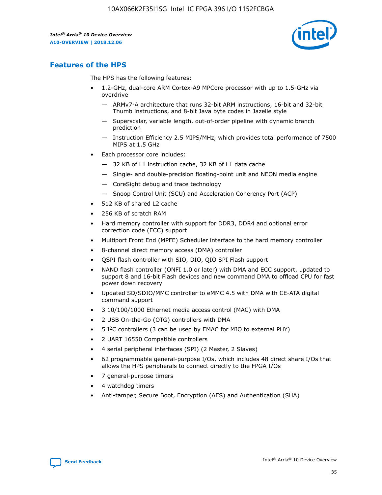

# **Features of the HPS**

The HPS has the following features:

- 1.2-GHz, dual-core ARM Cortex-A9 MPCore processor with up to 1.5-GHz via overdrive
	- ARMv7-A architecture that runs 32-bit ARM instructions, 16-bit and 32-bit Thumb instructions, and 8-bit Java byte codes in Jazelle style
	- Superscalar, variable length, out-of-order pipeline with dynamic branch prediction
	- Instruction Efficiency 2.5 MIPS/MHz, which provides total performance of 7500 MIPS at 1.5 GHz
- Each processor core includes:
	- 32 KB of L1 instruction cache, 32 KB of L1 data cache
	- Single- and double-precision floating-point unit and NEON media engine
	- CoreSight debug and trace technology
	- Snoop Control Unit (SCU) and Acceleration Coherency Port (ACP)
- 512 KB of shared L2 cache
- 256 KB of scratch RAM
- Hard memory controller with support for DDR3, DDR4 and optional error correction code (ECC) support
- Multiport Front End (MPFE) Scheduler interface to the hard memory controller
- 8-channel direct memory access (DMA) controller
- QSPI flash controller with SIO, DIO, QIO SPI Flash support
- NAND flash controller (ONFI 1.0 or later) with DMA and ECC support, updated to support 8 and 16-bit Flash devices and new command DMA to offload CPU for fast power down recovery
- Updated SD/SDIO/MMC controller to eMMC 4.5 with DMA with CE-ATA digital command support
- 3 10/100/1000 Ethernet media access control (MAC) with DMA
- 2 USB On-the-Go (OTG) controllers with DMA
- $\bullet$  5 I<sup>2</sup>C controllers (3 can be used by EMAC for MIO to external PHY)
- 2 UART 16550 Compatible controllers
- 4 serial peripheral interfaces (SPI) (2 Master, 2 Slaves)
- 62 programmable general-purpose I/Os, which includes 48 direct share I/Os that allows the HPS peripherals to connect directly to the FPGA I/Os
- 7 general-purpose timers
- 4 watchdog timers
- Anti-tamper, Secure Boot, Encryption (AES) and Authentication (SHA)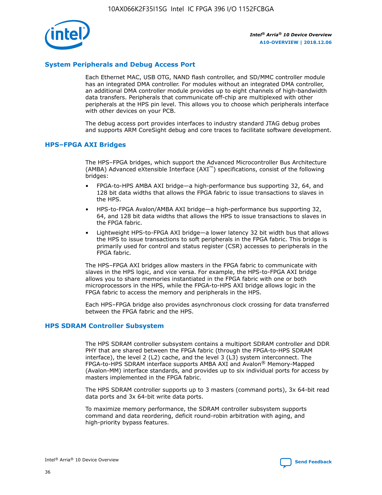

### **System Peripherals and Debug Access Port**

Each Ethernet MAC, USB OTG, NAND flash controller, and SD/MMC controller module has an integrated DMA controller. For modules without an integrated DMA controller, an additional DMA controller module provides up to eight channels of high-bandwidth data transfers. Peripherals that communicate off-chip are multiplexed with other peripherals at the HPS pin level. This allows you to choose which peripherals interface with other devices on your PCB.

The debug access port provides interfaces to industry standard JTAG debug probes and supports ARM CoreSight debug and core traces to facilitate software development.

### **HPS–FPGA AXI Bridges**

The HPS–FPGA bridges, which support the Advanced Microcontroller Bus Architecture (AMBA) Advanced eXtensible Interface (AXI™) specifications, consist of the following bridges:

- FPGA-to-HPS AMBA AXI bridge—a high-performance bus supporting 32, 64, and 128 bit data widths that allows the FPGA fabric to issue transactions to slaves in the HPS.
- HPS-to-FPGA Avalon/AMBA AXI bridge—a high-performance bus supporting 32, 64, and 128 bit data widths that allows the HPS to issue transactions to slaves in the FPGA fabric.
- Lightweight HPS-to-FPGA AXI bridge—a lower latency 32 bit width bus that allows the HPS to issue transactions to soft peripherals in the FPGA fabric. This bridge is primarily used for control and status register (CSR) accesses to peripherals in the FPGA fabric.

The HPS–FPGA AXI bridges allow masters in the FPGA fabric to communicate with slaves in the HPS logic, and vice versa. For example, the HPS-to-FPGA AXI bridge allows you to share memories instantiated in the FPGA fabric with one or both microprocessors in the HPS, while the FPGA-to-HPS AXI bridge allows logic in the FPGA fabric to access the memory and peripherals in the HPS.

Each HPS–FPGA bridge also provides asynchronous clock crossing for data transferred between the FPGA fabric and the HPS.

#### **HPS SDRAM Controller Subsystem**

The HPS SDRAM controller subsystem contains a multiport SDRAM controller and DDR PHY that are shared between the FPGA fabric (through the FPGA-to-HPS SDRAM interface), the level 2 (L2) cache, and the level 3 (L3) system interconnect. The FPGA-to-HPS SDRAM interface supports AMBA AXI and Avalon® Memory-Mapped (Avalon-MM) interface standards, and provides up to six individual ports for access by masters implemented in the FPGA fabric.

The HPS SDRAM controller supports up to 3 masters (command ports), 3x 64-bit read data ports and 3x 64-bit write data ports.

To maximize memory performance, the SDRAM controller subsystem supports command and data reordering, deficit round-robin arbitration with aging, and high-priority bypass features.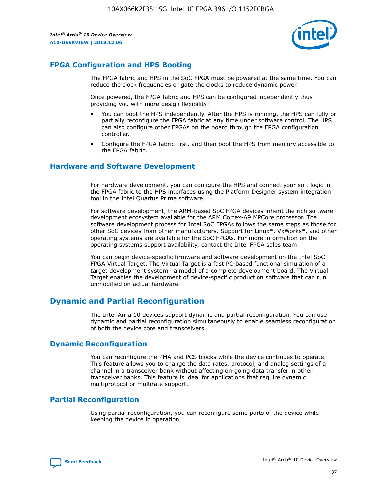

# **FPGA Configuration and HPS Booting**

The FPGA fabric and HPS in the SoC FPGA must be powered at the same time. You can reduce the clock frequencies or gate the clocks to reduce dynamic power.

Once powered, the FPGA fabric and HPS can be configured independently thus providing you with more design flexibility:

- You can boot the HPS independently. After the HPS is running, the HPS can fully or partially reconfigure the FPGA fabric at any time under software control. The HPS can also configure other FPGAs on the board through the FPGA configuration controller.
- Configure the FPGA fabric first, and then boot the HPS from memory accessible to the FPGA fabric.

### **Hardware and Software Development**

For hardware development, you can configure the HPS and connect your soft logic in the FPGA fabric to the HPS interfaces using the Platform Designer system integration tool in the Intel Quartus Prime software.

For software development, the ARM-based SoC FPGA devices inherit the rich software development ecosystem available for the ARM Cortex-A9 MPCore processor. The software development process for Intel SoC FPGAs follows the same steps as those for other SoC devices from other manufacturers. Support for Linux\*, VxWorks\*, and other operating systems are available for the SoC FPGAs. For more information on the operating systems support availability, contact the Intel FPGA sales team.

You can begin device-specific firmware and software development on the Intel SoC FPGA Virtual Target. The Virtual Target is a fast PC-based functional simulation of a target development system—a model of a complete development board. The Virtual Target enables the development of device-specific production software that can run unmodified on actual hardware.

# **Dynamic and Partial Reconfiguration**

The Intel Arria 10 devices support dynamic and partial reconfiguration. You can use dynamic and partial reconfiguration simultaneously to enable seamless reconfiguration of both the device core and transceivers.

# **Dynamic Reconfiguration**

You can reconfigure the PMA and PCS blocks while the device continues to operate. This feature allows you to change the data rates, protocol, and analog settings of a channel in a transceiver bank without affecting on-going data transfer in other transceiver banks. This feature is ideal for applications that require dynamic multiprotocol or multirate support.

# **Partial Reconfiguration**

Using partial reconfiguration, you can reconfigure some parts of the device while keeping the device in operation.

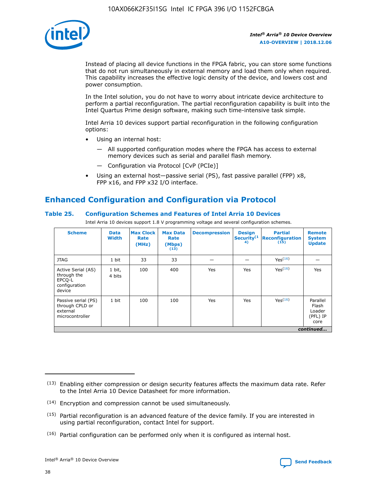

Instead of placing all device functions in the FPGA fabric, you can store some functions that do not run simultaneously in external memory and load them only when required. This capability increases the effective logic density of the device, and lowers cost and power consumption.

In the Intel solution, you do not have to worry about intricate device architecture to perform a partial reconfiguration. The partial reconfiguration capability is built into the Intel Quartus Prime design software, making such time-intensive task simple.

Intel Arria 10 devices support partial reconfiguration in the following configuration options:

- Using an internal host:
	- All supported configuration modes where the FPGA has access to external memory devices such as serial and parallel flash memory.
	- Configuration via Protocol [CvP (PCIe)]
- Using an external host—passive serial (PS), fast passive parallel (FPP) x8, FPP x16, and FPP x32 I/O interface.

# **Enhanced Configuration and Configuration via Protocol**

### **Table 25. Configuration Schemes and Features of Intel Arria 10 Devices**

Intel Arria 10 devices support 1.8 V programming voltage and several configuration schemes.

| <b>Scheme</b>                                                          | <b>Data</b><br><b>Width</b> | <b>Max Clock</b><br>Rate<br>(MHz) | <b>Max Data</b><br>Rate<br>(Mbps)<br>(13) | <b>Decompression</b> | <b>Design</b><br>Security <sup>(1</sup><br>4) | <b>Partial</b><br>Reconfiguration<br>(15) | <b>Remote</b><br><b>System</b><br><b>Update</b> |
|------------------------------------------------------------------------|-----------------------------|-----------------------------------|-------------------------------------------|----------------------|-----------------------------------------------|-------------------------------------------|-------------------------------------------------|
| <b>JTAG</b>                                                            | 1 bit                       | 33                                | 33                                        |                      |                                               | Yes <sup>(16)</sup>                       |                                                 |
| Active Serial (AS)<br>through the<br>EPCO-L<br>configuration<br>device | 1 bit,<br>4 bits            | 100                               | 400                                       | Yes                  | Yes                                           | $Y_{PS}(16)$                              | Yes                                             |
| Passive serial (PS)<br>through CPLD or<br>external<br>microcontroller  | 1 bit                       | 100                               | 100                                       | Yes                  | Yes                                           | Yes(16)                                   | Parallel<br>Flash<br>Loader<br>(PFL) IP<br>core |
|                                                                        |                             |                                   |                                           |                      |                                               |                                           | continued                                       |

<sup>(13)</sup> Enabling either compression or design security features affects the maximum data rate. Refer to the Intel Arria 10 Device Datasheet for more information.

<sup>(14)</sup> Encryption and compression cannot be used simultaneously.

 $(15)$  Partial reconfiguration is an advanced feature of the device family. If you are interested in using partial reconfiguration, contact Intel for support.

 $(16)$  Partial configuration can be performed only when it is configured as internal host.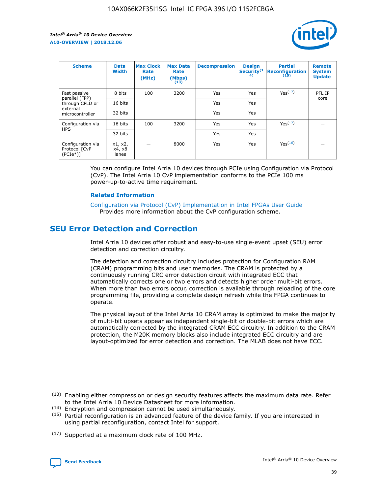

| <b>Scheme</b>                                    | <b>Data</b><br><b>Width</b> | <b>Max Clock</b><br>Rate<br>(MHz) | <b>Max Data</b><br>Rate<br>(Mbps)<br>(13) | <b>Decompression</b> | <b>Design</b><br>Security <sup>(1</sup><br>4) | <b>Partial</b><br><b>Reconfiguration</b><br>(15) | <b>Remote</b><br><b>System</b><br><b>Update</b> |
|--------------------------------------------------|-----------------------------|-----------------------------------|-------------------------------------------|----------------------|-----------------------------------------------|--------------------------------------------------|-------------------------------------------------|
| Fast passive                                     | 8 bits                      | 100                               | 3200                                      | <b>Yes</b>           | Yes                                           | Yes(17)                                          | PFL IP                                          |
| parallel (FPP)<br>through CPLD or                | 16 bits                     |                                   |                                           | Yes                  | Yes                                           |                                                  | core                                            |
| external<br>microcontroller                      | 32 bits                     |                                   |                                           | Yes                  | Yes                                           |                                                  |                                                 |
| Configuration via                                | 16 bits                     | 100                               | 3200                                      | Yes                  | Yes                                           | Yes <sup>(17)</sup>                              |                                                 |
| <b>HPS</b>                                       | 32 bits                     |                                   |                                           | Yes                  | Yes                                           |                                                  |                                                 |
| Configuration via<br>Protocol [CvP<br>$(PCIe^*)$ | x1, x2,<br>x4, x8<br>lanes  |                                   | 8000                                      | Yes                  | Yes                                           | Yes <sup>(16)</sup>                              |                                                 |

You can configure Intel Arria 10 devices through PCIe using Configuration via Protocol (CvP). The Intel Arria 10 CvP implementation conforms to the PCIe 100 ms power-up-to-active time requirement.

### **Related Information**

[Configuration via Protocol \(CvP\) Implementation in Intel FPGAs User Guide](https://www.intel.com/content/www/us/en/programmable/documentation/dsu1441819344145.html#dsu1442269728522) Provides more information about the CvP configuration scheme.

# **SEU Error Detection and Correction**

Intel Arria 10 devices offer robust and easy-to-use single-event upset (SEU) error detection and correction circuitry.

The detection and correction circuitry includes protection for Configuration RAM (CRAM) programming bits and user memories. The CRAM is protected by a continuously running CRC error detection circuit with integrated ECC that automatically corrects one or two errors and detects higher order multi-bit errors. When more than two errors occur, correction is available through reloading of the core programming file, providing a complete design refresh while the FPGA continues to operate.

The physical layout of the Intel Arria 10 CRAM array is optimized to make the majority of multi-bit upsets appear as independent single-bit or double-bit errors which are automatically corrected by the integrated CRAM ECC circuitry. In addition to the CRAM protection, the M20K memory blocks also include integrated ECC circuitry and are layout-optimized for error detection and correction. The MLAB does not have ECC.

<sup>(17)</sup> Supported at a maximum clock rate of 100 MHz.



 $(13)$  Enabling either compression or design security features affects the maximum data rate. Refer to the Intel Arria 10 Device Datasheet for more information.

<sup>(14)</sup> Encryption and compression cannot be used simultaneously.

 $(15)$  Partial reconfiguration is an advanced feature of the device family. If you are interested in using partial reconfiguration, contact Intel for support.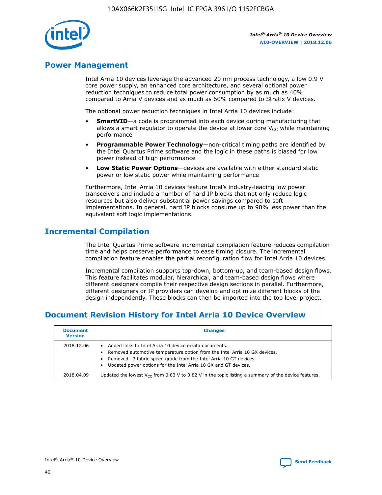

# **Power Management**

Intel Arria 10 devices leverage the advanced 20 nm process technology, a low 0.9 V core power supply, an enhanced core architecture, and several optional power reduction techniques to reduce total power consumption by as much as 40% compared to Arria V devices and as much as 60% compared to Stratix V devices.

The optional power reduction techniques in Intel Arria 10 devices include:

- **SmartVID**—a code is programmed into each device during manufacturing that allows a smart regulator to operate the device at lower core  $V_{CC}$  while maintaining performance
- **Programmable Power Technology**—non-critical timing paths are identified by the Intel Quartus Prime software and the logic in these paths is biased for low power instead of high performance
- **Low Static Power Options**—devices are available with either standard static power or low static power while maintaining performance

Furthermore, Intel Arria 10 devices feature Intel's industry-leading low power transceivers and include a number of hard IP blocks that not only reduce logic resources but also deliver substantial power savings compared to soft implementations. In general, hard IP blocks consume up to 90% less power than the equivalent soft logic implementations.

# **Incremental Compilation**

The Intel Quartus Prime software incremental compilation feature reduces compilation time and helps preserve performance to ease timing closure. The incremental compilation feature enables the partial reconfiguration flow for Intel Arria 10 devices.

Incremental compilation supports top-down, bottom-up, and team-based design flows. This feature facilitates modular, hierarchical, and team-based design flows where different designers compile their respective design sections in parallel. Furthermore, different designers or IP providers can develop and optimize different blocks of the design independently. These blocks can then be imported into the top level project.

# **Document Revision History for Intel Arria 10 Device Overview**

| <b>Document</b><br><b>Version</b> | <b>Changes</b>                                                                                                                                                                                                                                                              |
|-----------------------------------|-----------------------------------------------------------------------------------------------------------------------------------------------------------------------------------------------------------------------------------------------------------------------------|
| 2018.12.06                        | Added links to Intel Arria 10 device errata documents.<br>Removed automotive temperature option from the Intel Arria 10 GX devices.<br>Removed -3 fabric speed grade from the Intel Arria 10 GT devices.<br>Updated power options for the Intel Arria 10 GX and GT devices. |
| 2018.04.09                        | Updated the lowest $V_{CC}$ from 0.83 V to 0.82 V in the topic listing a summary of the device features.                                                                                                                                                                    |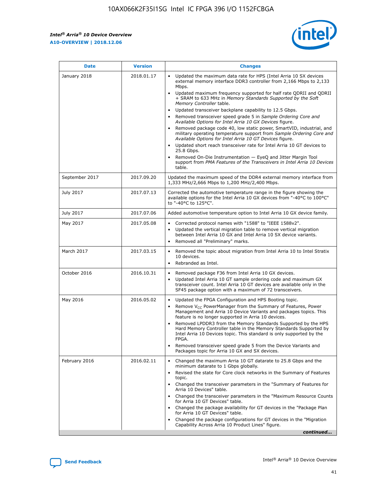

| <b>Date</b>    | <b>Version</b> | <b>Changes</b>                                                                                                                                                                                                                                                                                                                                                                                                                                                                                                                                                                                                                                                                                                                                                                                                                                                                                                                                               |
|----------------|----------------|--------------------------------------------------------------------------------------------------------------------------------------------------------------------------------------------------------------------------------------------------------------------------------------------------------------------------------------------------------------------------------------------------------------------------------------------------------------------------------------------------------------------------------------------------------------------------------------------------------------------------------------------------------------------------------------------------------------------------------------------------------------------------------------------------------------------------------------------------------------------------------------------------------------------------------------------------------------|
| January 2018   | 2018.01.17     | Updated the maximum data rate for HPS (Intel Arria 10 SX devices<br>external memory interface DDR3 controller from 2,166 Mbps to 2,133<br>Mbps.<br>Updated maximum frequency supported for half rate QDRII and QDRII<br>+ SRAM to 633 MHz in Memory Standards Supported by the Soft<br>Memory Controller table.<br>Updated transceiver backplane capability to 12.5 Gbps.<br>Removed transceiver speed grade 5 in Sample Ordering Core and<br>Available Options for Intel Arria 10 GX Devices figure.<br>Removed package code 40, low static power, SmartVID, industrial, and<br>military operating temperature support from Sample Ordering Core and<br>Available Options for Intel Arria 10 GT Devices figure.<br>Updated short reach transceiver rate for Intel Arria 10 GT devices to<br>25.8 Gbps.<br>Removed On-Die Instrumentation - EyeQ and Jitter Margin Tool<br>support from PMA Features of the Transceivers in Intel Arria 10 Devices<br>table. |
| September 2017 | 2017.09.20     | Updated the maximum speed of the DDR4 external memory interface from<br>1,333 MHz/2,666 Mbps to 1,200 MHz/2,400 Mbps.                                                                                                                                                                                                                                                                                                                                                                                                                                                                                                                                                                                                                                                                                                                                                                                                                                        |
| July 2017      | 2017.07.13     | Corrected the automotive temperature range in the figure showing the<br>available options for the Intel Arria 10 GX devices from "-40°C to 100°C"<br>to "-40°C to 125°C".                                                                                                                                                                                                                                                                                                                                                                                                                                                                                                                                                                                                                                                                                                                                                                                    |
| July 2017      | 2017.07.06     | Added automotive temperature option to Intel Arria 10 GX device family.                                                                                                                                                                                                                                                                                                                                                                                                                                                                                                                                                                                                                                                                                                                                                                                                                                                                                      |
| May 2017       | 2017.05.08     | Corrected protocol names with "1588" to "IEEE 1588v2".<br>Updated the vertical migration table to remove vertical migration<br>$\bullet$<br>between Intel Arria 10 GX and Intel Arria 10 SX device variants.<br>Removed all "Preliminary" marks.                                                                                                                                                                                                                                                                                                                                                                                                                                                                                                                                                                                                                                                                                                             |
| March 2017     | 2017.03.15     | Removed the topic about migration from Intel Arria 10 to Intel Stratix<br>10 devices.<br>Rebranded as Intel.<br>$\bullet$                                                                                                                                                                                                                                                                                                                                                                                                                                                                                                                                                                                                                                                                                                                                                                                                                                    |
| October 2016   | 2016.10.31     | Removed package F36 from Intel Arria 10 GX devices.<br>Updated Intel Arria 10 GT sample ordering code and maximum GX<br>$\bullet$<br>transceiver count. Intel Arria 10 GT devices are available only in the<br>SF45 package option with a maximum of 72 transceivers.                                                                                                                                                                                                                                                                                                                                                                                                                                                                                                                                                                                                                                                                                        |
| May 2016       | 2016.05.02     | Updated the FPGA Configuration and HPS Booting topic.<br>$\bullet$<br>Remove V <sub>CC</sub> PowerManager from the Summary of Features, Power<br>Management and Arria 10 Device Variants and packages topics. This<br>feature is no longer supported in Arria 10 devices.<br>Removed LPDDR3 from the Memory Standards Supported by the HPS<br>Hard Memory Controller table in the Memory Standards Supported by<br>Intel Arria 10 Devices topic. This standard is only supported by the<br>FPGA.<br>Removed transceiver speed grade 5 from the Device Variants and<br>Packages topic for Arria 10 GX and SX devices.                                                                                                                                                                                                                                                                                                                                         |
| February 2016  | 2016.02.11     | Changed the maximum Arria 10 GT datarate to 25.8 Gbps and the<br>minimum datarate to 1 Gbps globally.<br>Revised the state for Core clock networks in the Summary of Features<br>topic.<br>Changed the transceiver parameters in the "Summary of Features for<br>Arria 10 Devices" table.<br>Changed the transceiver parameters in the "Maximum Resource Counts"<br>for Arria 10 GT Devices" table.<br>Changed the package availability for GT devices in the "Package Plan<br>for Arria 10 GT Devices" table.<br>Changed the package configurations for GT devices in the "Migration"<br>Capability Across Arria 10 Product Lines" figure.<br>continued                                                                                                                                                                                                                                                                                                     |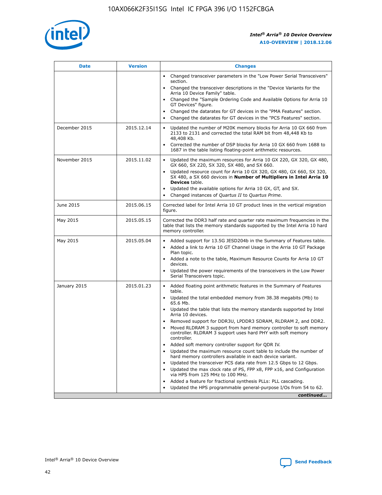

| <b>Date</b>   | <b>Version</b> | <b>Changes</b>                                                                                                                                                               |
|---------------|----------------|------------------------------------------------------------------------------------------------------------------------------------------------------------------------------|
|               |                | • Changed transceiver parameters in the "Low Power Serial Transceivers"<br>section.                                                                                          |
|               |                | • Changed the transceiver descriptions in the "Device Variants for the<br>Arria 10 Device Family" table.                                                                     |
|               |                | Changed the "Sample Ordering Code and Available Options for Arria 10<br>$\bullet$<br>GT Devices" figure.                                                                     |
|               |                | Changed the datarates for GT devices in the "PMA Features" section.                                                                                                          |
|               |                | Changed the datarates for GT devices in the "PCS Features" section.<br>$\bullet$                                                                                             |
| December 2015 | 2015.12.14     | Updated the number of M20K memory blocks for Arria 10 GX 660 from<br>2133 to 2131 and corrected the total RAM bit from 48,448 Kb to<br>48,408 Kb.                            |
|               |                | Corrected the number of DSP blocks for Arria 10 GX 660 from 1688 to<br>1687 in the table listing floating-point arithmetic resources.                                        |
| November 2015 | 2015.11.02     | Updated the maximum resources for Arria 10 GX 220, GX 320, GX 480,<br>$\bullet$<br>GX 660, SX 220, SX 320, SX 480, and SX 660.                                               |
|               |                | • Updated resource count for Arria 10 GX 320, GX 480, GX 660, SX 320,<br>SX 480, a SX 660 devices in Number of Multipliers in Intel Arria 10<br><b>Devices</b> table.        |
|               |                | Updated the available options for Arria 10 GX, GT, and SX.                                                                                                                   |
|               |                | Changed instances of Quartus II to Quartus Prime.<br>$\bullet$                                                                                                               |
| June 2015     | 2015.06.15     | Corrected label for Intel Arria 10 GT product lines in the vertical migration<br>figure.                                                                                     |
| May 2015      | 2015.05.15     | Corrected the DDR3 half rate and quarter rate maximum frequencies in the<br>table that lists the memory standards supported by the Intel Arria 10 hard<br>memory controller. |
| May 2015      | 2015.05.04     | • Added support for 13.5G JESD204b in the Summary of Features table.<br>• Added a link to Arria 10 GT Channel Usage in the Arria 10 GT Package<br>Plan topic.                |
|               |                | • Added a note to the table, Maximum Resource Counts for Arria 10 GT<br>devices.                                                                                             |
|               |                | • Updated the power requirements of the transceivers in the Low Power<br>Serial Transceivers topic.                                                                          |
| January 2015  | 2015.01.23     | • Added floating point arithmetic features in the Summary of Features<br>table.                                                                                              |
|               |                | • Updated the total embedded memory from 38.38 megabits (Mb) to<br>65.6 Mb.                                                                                                  |
|               |                | • Updated the table that lists the memory standards supported by Intel<br>Arria 10 devices.                                                                                  |
|               |                | Removed support for DDR3U, LPDDR3 SDRAM, RLDRAM 2, and DDR2.                                                                                                                 |
|               |                | Moved RLDRAM 3 support from hard memory controller to soft memory<br>controller. RLDRAM 3 support uses hard PHY with soft memory<br>controller.                              |
|               |                | Added soft memory controller support for QDR IV.<br>٠                                                                                                                        |
|               |                | Updated the maximum resource count table to include the number of<br>hard memory controllers available in each device variant.                                               |
|               |                | Updated the transceiver PCS data rate from 12.5 Gbps to 12 Gbps.<br>$\bullet$                                                                                                |
|               |                | Updated the max clock rate of PS, FPP x8, FPP x16, and Configuration<br>via HPS from 125 MHz to 100 MHz.                                                                     |
|               |                | Added a feature for fractional synthesis PLLs: PLL cascading.                                                                                                                |
|               |                | Updated the HPS programmable general-purpose I/Os from 54 to 62.<br>$\bullet$<br>continued                                                                                   |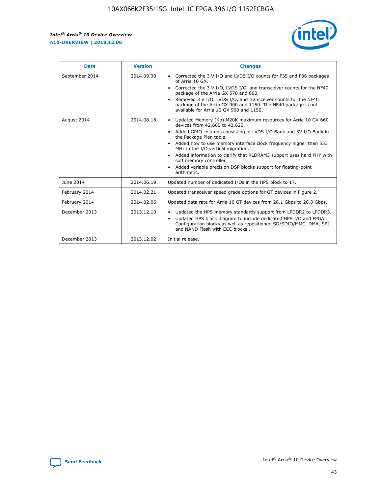r



| <b>Date</b>    | <b>Version</b> | <b>Changes</b>                                                                                                                                                                                                                                                                                                                                                                                                                                                                                                                                      |
|----------------|----------------|-----------------------------------------------------------------------------------------------------------------------------------------------------------------------------------------------------------------------------------------------------------------------------------------------------------------------------------------------------------------------------------------------------------------------------------------------------------------------------------------------------------------------------------------------------|
| September 2014 | 2014.09.30     | Corrected the 3 V I/O and LVDS I/O counts for F35 and F36 packages<br>$\bullet$<br>of Arria 10 GX.<br>Corrected the 3 V I/O, LVDS I/O, and transceiver counts for the NF40<br>$\bullet$<br>package of the Arria GX 570 and 660.<br>Removed 3 V I/O, LVDS I/O, and transceiver counts for the NF40<br>package of the Arria GX 900 and 1150. The NF40 package is not<br>available for Arria 10 GX 900 and 1150.                                                                                                                                       |
| August 2014    | 2014.08.18     | Updated Memory (Kb) M20K maximum resources for Arria 10 GX 660<br>devices from 42,660 to 42,620.<br>Added GPIO columns consisting of LVDS I/O Bank and 3V I/O Bank in<br>$\bullet$<br>the Package Plan table.<br>Added how to use memory interface clock frequency higher than 533<br>$\bullet$<br>MHz in the I/O vertical migration.<br>Added information to clarify that RLDRAM3 support uses hard PHY with<br>$\bullet$<br>soft memory controller.<br>Added variable precision DSP blocks support for floating-point<br>$\bullet$<br>arithmetic. |
| June 2014      | 2014.06.19     | Updated number of dedicated I/Os in the HPS block to 17.                                                                                                                                                                                                                                                                                                                                                                                                                                                                                            |
| February 2014  | 2014.02.21     | Updated transceiver speed grade options for GT devices in Figure 2.                                                                                                                                                                                                                                                                                                                                                                                                                                                                                 |
| February 2014  | 2014.02.06     | Updated data rate for Arria 10 GT devices from 28.1 Gbps to 28.3 Gbps.                                                                                                                                                                                                                                                                                                                                                                                                                                                                              |
| December 2013  | 2013.12.10     | Updated the HPS memory standards support from LPDDR2 to LPDDR3.<br>Updated HPS block diagram to include dedicated HPS I/O and FPGA<br>$\bullet$<br>Configuration blocks as well as repositioned SD/SDIO/MMC, DMA, SPI<br>and NAND Flash with ECC blocks.                                                                                                                                                                                                                                                                                            |
| December 2013  | 2013.12.02     | Initial release.                                                                                                                                                                                                                                                                                                                                                                                                                                                                                                                                    |